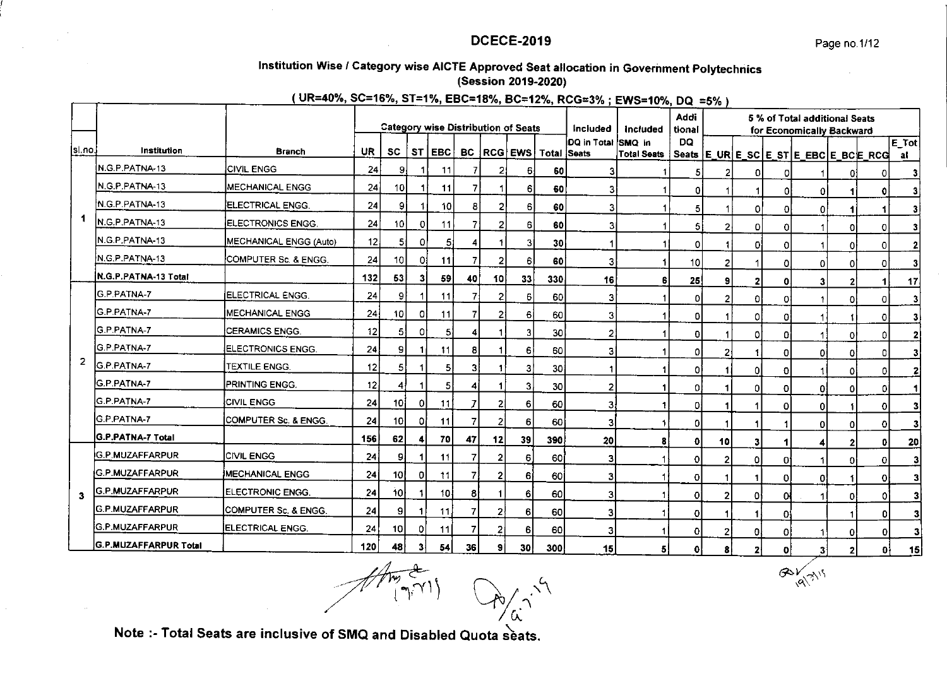$\alpha\gamma\gamma\gamma\gamma$ 

# Institution Wise / Category wise AICTE Approved Seat allocation in Government Polytechnics (Session 2019-2020)

# (UR=40%, SC=16%, ST=1%, EBC=18%, BC=12%, RCG=3%; EWS=10%, DQ =5%)

|                |                         |                          |           |                 |    |                 |                |                 | <b>Category wise Distribution of Seats</b> |                    | Included           | Included           | Addi<br>tional |                |                         |    | 5 % of Total additional Seats<br>for Economically Backward |    |          |               |
|----------------|-------------------------|--------------------------|-----------|-----------------|----|-----------------|----------------|-----------------|--------------------------------------------|--------------------|--------------------|--------------------|----------------|----------------|-------------------------|----|------------------------------------------------------------|----|----------|---------------|
| sl no.         | Institution             | <b>Branch</b>            | <b>UR</b> | <b>SC</b>       | ST | EBC             |                |                 | BC RCG EWS                                 | <b>Total Seats</b> | DQ in Total SMQ in | <b>Total Seats</b> | DQ             |                |                         |    | Seats   E_UR   E_SC   E_ST   E_EBC   E_BC   E_RCG          |    |          | $E$ Tot<br>al |
|                | N.G.P.PATNA-13          | <b>CIVIL ENGG</b>        | 24        | 9               |    | 11              | 7              |                 | 61                                         | 60                 | 3                  |                    | 5              | 2              | n                       | n  |                                                            |    | 0        | 3             |
|                | N.G.P.PATNA-13          | <b>MECHANICAL ENGG</b>   | 24        | 10              |    | 11              | 7              |                 | 61                                         | 60                 | 3                  |                    | n              |                |                         | ΩI | ٥I                                                         |    | ٥        | 3             |
|                | N.G.P. PATNA-13         | ELECTRICAL ENGG.         | 24        | 9               |    | 10              | 8              |                 | 61                                         | 60                 | 3                  |                    | 5              |                | 0                       | 0  | Οl                                                         |    |          | 3             |
| 1              | N.G.P.PATNA-13          | ELECTRONICS ENGG.        | 24        | 10              | 0. | 11              | 7              |                 | 6                                          | 60                 | 3                  |                    | 51             | $\overline{2}$ | 0                       | Ω  |                                                            | 01 | 0.       | 3             |
|                | N.G.P.PATNA-13          | MECHANICAL ENGG (Auto)   | 12        | 5               | ٥I | 5 <sub>i</sub>  | 4              |                 | 31                                         | 30 <sup>1</sup>    |                    |                    | ٥I             |                | 0                       | 0  |                                                            | ٥I | $\Omega$ | 2             |
|                | N.G.P.PATNA-13          | COMPUTER Sc. & ENGG.     | 24        | 10 <sup>1</sup> | 01 | 11              | $\overline{7}$ |                 | 6                                          | 60                 | 3                  |                    | 10             | 2              |                         | Ω  | ٥I                                                         | O  | n        | 3             |
|                | N.G.P.PATNA-13 Total    |                          | 132       | 53              | 31 | 59              | 40             | 10 <sub>1</sub> | 33                                         | 330                | 16                 | 6                  | 25             | 9              | $\overline{\mathbf{z}}$ | O  | 31                                                         |    |          | 17            |
|                | <b>IG.P.PATNA-7</b>     | ELECTRICAL ENGG.         | 24        | 9               |    | 11              | 7              |                 | 6                                          | 60                 | 3'                 |                    | ٥              | 2              | 0                       | 0  |                                                            | ٥  | 0        | 3             |
|                | IG.P.PATNA-7            | <b>MECHANICAL ENGG</b>   | 24        | 10              | 01 | 11              |                |                 | 6                                          | 60                 | 3                  |                    | ٥I             |                | 0                       | Ω  |                                                            |    |          |               |
|                | G.P.PATNA-7             | <b>CERAMICS ENGG.</b>    | 12        | 51              |    | 5 <sub>1</sub>  | Δ              |                 | 3                                          | 30                 | 2                  |                    | Ω              |                | 0                       | Ω  |                                                            | Λ  | n.       | $\mathbf{2}$  |
|                | G.P.PATNA-7             | ELECTRONICS ENGG.        | 24        | 9               |    | 11              | 8              |                 | 6                                          | 60                 | 3                  |                    | 0              | $\overline{2}$ |                         | 0  | ٥I                                                         | o  | n.       | 3             |
| $\overline{2}$ | <b>G.P.PATNA-7</b>      | TEXTILE ENGG.            | 12        | $\overline{5}$  |    | $\vert 5 \vert$ | 3              |                 | З                                          | 30                 |                    |                    | O              |                | οI                      | Ω  |                                                            | ٥  | O.       | 2             |
|                | G.P.PATNA-7             | <b>PRINTING ENGG.</b>    | 12        | 4               |    | 5 <sup>1</sup>  | 4              |                 | 3                                          | 30                 | $\mathbf{2}$       |                    | ΩI             |                | οI                      | Ω  | 01                                                         |    | n        |               |
|                | G.P.PATNA-7             | <b>CIVIL ENGG</b>        | 24        | 10 I            | ΟI | 11              |                |                 | $6 \mid$                                   | 60                 | 3                  | 1                  | ٥I             |                |                         | Ω  | ٥I                                                         |    | O.       | 3             |
|                | <b>G.P.PATNA-7</b>      | COMPUTER Sc. & ENGG.     | 24        | 10I             |    | 11              |                |                 | 6                                          | 60                 | 3 <sup>1</sup>     | 11                 | ٥I             |                |                         |    | 01                                                         | 0  | o        | 3             |
|                | IG P PATNA-7 Total      |                          | 156       | 62              |    | 70              | 47             | 12              | 39                                         | 390                | 20                 | 8                  | ٥I             | 10             | 3                       |    |                                                            |    | ΩI       | 20            |
|                | G.P.MUZAFFARPUR         | <b>CIVIL ENGG</b>        | 24        | 91              |    | 11              | 7              | 2               | 6                                          | 60                 | 31                 |                    | οI             | $\overline{2}$ | οI                      | 0  |                                                            | ٥I | 0        | з             |
|                | <b>G.P.MUZAFFARPUR</b>  | <b>IMECHANICAL ENGG</b>  | 24        | 10I             | ΟI | -11             |                | 2               | 6                                          | 60                 | 3                  |                    | ٥I             |                | 1                       | 0  | ٥I                                                         |    | $\Omega$ | 3             |
| 3              | G.P.MUZAFFARPUR         | ELECTRONIC ENGG.         | 24        | 10I             |    | 10 <sub>1</sub> | 81             |                 | 6 <sup>1</sup>                             | 60                 | 31                 |                    | ٥I             | 2              | 01                      | 0  |                                                            | n  |          | 3             |
|                | <b>IG P MUZAFFARPUR</b> | COMPUTER Sc. & ENGG.     | 24        | 9               |    | 11              | $\overline{7}$ | 2               | $6 \mid$                                   | 60                 | 3                  |                    | οI             |                |                         | O. |                                                            |    |          | з             |
|                | <b>G.P.MUZAFFARPUR</b>  | <b>IELECTRICAL ENGG.</b> | 24        | 10 <sup>1</sup> | οı | 11              | $\overline{7}$ | 2               | 6                                          | 60                 | 31                 |                    | ΩI             | 2              | οl                      | 0  |                                                            | 0  |          | з             |
|                | G.P.MUZAFFARPUR Total   |                          | 120       | 48              | 31 | 54 I            | 36             | 9               | 30 l                                       | 300                | 15 I               | 51                 | ٥Ι             | 8              | ,                       | n  | 31                                                         | ,  | o.       | 15            |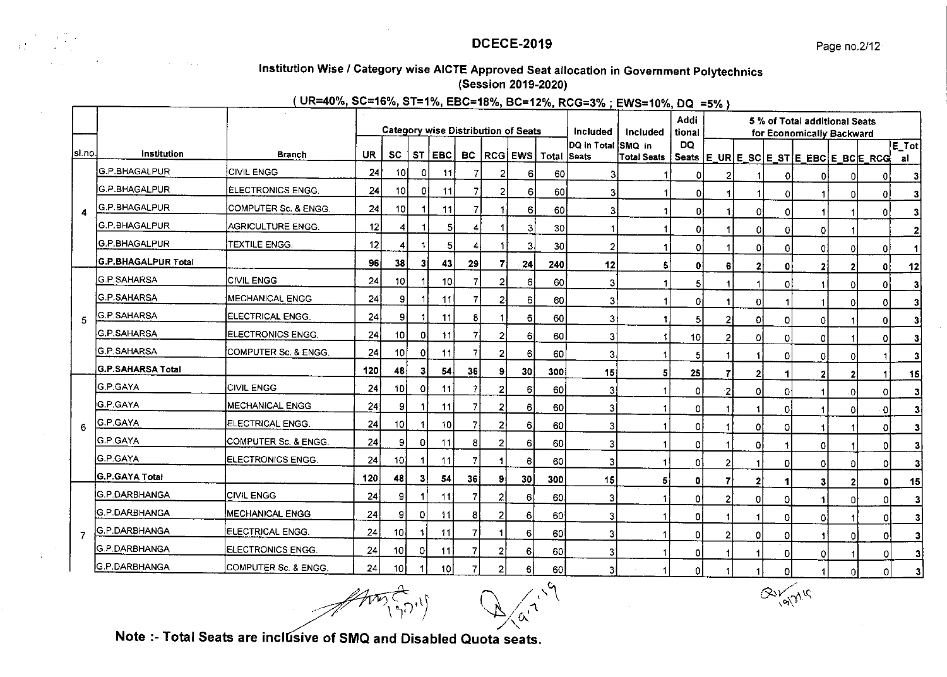

# DCECE.2O19

# lnstitution wise / category wise AIGTE Approved seat allocation in Government polytechnics (Session 2019-2020)

 $($  UR=40%, SC=16%, ST=1%, EBC=18%, BC=12%, RCG=3%; EWS=10%, DQ =5%)

|        |                          |                         |           |                 |           |                 |                |                | <b>Category wise Distribution of Seats</b> |                        | Included                  | Included           | Addi<br>tional |   |              |   | 5 % of Total additional Seats<br>for Economically Backward |          |              |                |
|--------|--------------------------|-------------------------|-----------|-----------------|-----------|-----------------|----------------|----------------|--------------------------------------------|------------------------|---------------------------|--------------------|----------------|---|--------------|---|------------------------------------------------------------|----------|--------------|----------------|
| si no. | Institution              | <b>Branch</b>           | <b>UR</b> | <b>SC</b>       | <b>ST</b> | EBC             |                |                |                                            | BC RCG EWS Total Seats | DQ in Total <i>SMQ</i> in | <b>Total Seats</b> | DQ             |   |              |   |                                                            |          |              | E_Tot          |
|        | G.P.BHAGALPUR            | CIVIL ENGG              | 24        | 101             | 0         | -11             |                | 2              | 6                                          | 60                     | 3.                        |                    | 0              | 2 |              |   | Seats  E_UR E_SC E_ST E_EBC E_BC E_RCG <br>ΟI              | 0        | 0            | al             |
|        | G.P.BHAGALPUR            | ELECTRONICS ENGG.       | 24        | 10I             |           | 11              |                |                | 6                                          | <b>60</b>              | 3                         |                    | 0.             |   |              |   |                                                            | 0        | n            |                |
| 4      | G.P.BHAGALPUR            | COMPUTER Sc. & ENGG.    | 24        | 10              |           | 11              | $\overline{7}$ |                | 6                                          | 60                     | 3                         |                    | 01             |   | 0            | o |                                                            |          | n            |                |
|        | G.P.BHAGALPUR            | AGRICULTURE ENGG.       | 12        | 4               |           | 5               | 4              |                | 3                                          | 30                     |                           |                    | 0l             |   | 0l           | n | ٥I                                                         |          |              |                |
|        | <b>G.P.BHAGALPUR</b>     | TEXTILE ENGG.           | 12        | 4               |           | $\overline{5}$  | 4              |                | 3                                          | 30                     | 2                         |                    | 0              |   | ٥I           | 0 | 01                                                         | 0        | ٥١           |                |
|        | G.P.BHAGALPUR Total      |                         | 96        | 38              |           | 43              | 29             |                | 24                                         | 240                    | 12                        | 5                  | 0              | 6 |              | Ω | 2                                                          |          | 0            | 12             |
|        | G.P.SAHARSA              | <b>CIVIL ENGG</b>       | 24        | 10 <sup>1</sup> |           | 10 <sub>1</sub> | 7              | 2              | $6 \mid$                                   | 60                     | 3                         | 1                  | 5              |   |              | O |                                                            | O        | 0            | 2              |
|        | G.P.SAHARSA              | <b>MECHANICAL ENGG</b>  | 24        | 9               |           | 11              | 7.             | 2              | $6 \mid$                                   | 60                     | 3                         | 1                  | 01             |   | 0            |   | -1                                                         | $\Omega$ | ٥I           | 3              |
|        | <b>G.P. SAHARSA</b>      | ELECTRICAL ENGG.        | 24        | 91              |           | 11              | 8              |                | 6 <sup>1</sup>                             | 60                     | $\vert$ 3                 |                    | 51             |   | 01           | 0 | 01                                                         |          | οI           |                |
|        | G.P.SAHARSA              | ELECTRONICS ENGG.       | 24        | 10 <sub>l</sub> | O.        | 11              |                | 2              | 6İ                                         | 60                     | $\mathbf{3}$              |                    | 10             | 2 | ٥ı           | Ω | οı                                                         |          | ٥I           | з              |
|        | G.P.SAHARSA              | COMPUTER Sc. & ENGG.    | 24        | 10 <sup>1</sup> | Ð         | 11              |                | 2              | 6                                          | 60                     | 3 <sub>i</sub>            |                    | 5              |   |              |   | ٥I                                                         | 0        |              |                |
|        | <b>G.P.SAHARSA Total</b> |                         | 120       | 48              | з         | 54              | 36             | 9              | 30                                         | 300                    | 15                        | 5                  | 25             | 7 | 2            |   | $\mathbf{2}$                                               | 2        | 1            | 15             |
|        | <b>G.P.GAYA</b>          | <b>CIVIL ENGG</b>       | 24        | 10              | Ω         | 11              |                | 2              | 6                                          | <b>60</b>              | $\vert$ 3                 |                    | 0              | 2 | οI           | 0 |                                                            | ٥        | οI           | з              |
|        | IG.P GAYA                | MECHANICAL ENGG         | 24        | 91              |           | 11              |                |                | 6                                          | 60                     | 3 <sup>1</sup>            |                    | ٥I             |   |              | Ω |                                                            | 0        | $\Omega$     | 31             |
| 6      | G.P.GAYA                 | ELECTRICAL ENGG.        | 24        | 10I             |           | <b>10</b>       |                | 2              | 6                                          | 60                     | 3 <sup>1</sup>            |                    | ٥I             |   | 0            | Ω |                                                            |          | ٥I           | 31             |
|        | <b>G.P.GAYA</b>          | COMPUTER Sc. & ENGG     | 24        | 9               | 0         | 11              | 8              | 2              | 6                                          | 60                     | 31                        | 1                  | ٥١             |   | ٥I           |   | 0                                                          |          | οI           | 31             |
|        | <b>G.P.GAYA</b>          | ELECTRONICS ENGG.       | 24        | 10              |           | 11              |                |                | 6                                          | 60                     | 3                         | 11                 | ٥l             | 2 | 1            | 0 | 01                                                         | $\Omega$ | οI           | 31             |
|        | G.P.GAYA Total           |                         | 120       | 48              | 3         | 54              | 36             | 9              | 30                                         | 300                    | 15                        | 5.                 | 01             | 7 | $\mathbf{2}$ |   | 3                                                          | 2        | $\mathbf{0}$ | 15             |
|        | IG.P.DARBHANGA           | <b>CIVIL ENGG</b>       | 24        | 9               |           | 11              |                | $\overline{2}$ | 6                                          | 60                     | 3                         | 1                  | ٥١             | 2 | $\Omega$     |   |                                                            | 0        | οI           | $\mathbf{3}$   |
|        | <b>G.P.DARBHANGA</b>     | <b>MECHANICAL ENGG</b>  | 24        | 9               | 0         | 11              | 8              | 2              | 6                                          | 60                     | 3                         |                    | O.             |   |              | o | ٥۱                                                         |          | οI           | 31             |
| 7      | <b>G.P.DARBHANGA</b>     | <b>ELECTRICAL ENGG.</b> | 24        | <b>10</b>       |           | 11              |                |                | 6                                          | 60                     | 3                         |                    | ٥I             | 2 | 0            | 0 | 1                                                          | 0        | 0            | 3 <sup>1</sup> |
|        | <b>G.P.DARBHANGA</b>     | ELECTRONICS ENGG.       | 24        | 10 <sup>1</sup> | Ω         | 11              |                | 2              | 6                                          | 60                     | 3.                        |                    | ٥I             |   |              | 0 | 0                                                          |          | 0            | 3              |
|        | <b>G.P.DARBHANGA</b>     | COMPUTER Sc. & ENGG.    | 24        | 10 I            |           | 10              |                | 2              | 61                                         | 60                     | зі                        | 1                  | οı             |   | 1            | Ω | 1                                                          | Οİ       | 0            | 3              |

 $\frac{1}{(97)^1}\sqrt{\frac{1}{(\omega_1+1)^2}}$ 

 $Q=\frac{1}{\sqrt{2}}\int_{\alpha}^{\alpha}d^3x$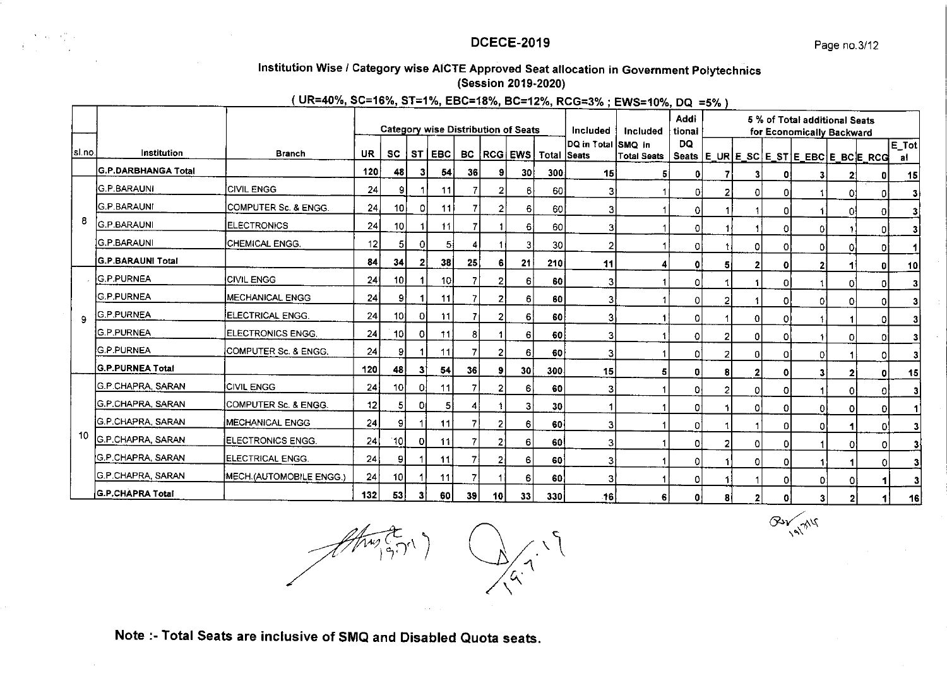# Institution Wise / Category wise AICTE Approved Seat allocation in Government Polytechnics (Session 2019-2020)

# (UR=40%, SC=16%, ST=1%, EBC=18%, BC=12%, RCG=3%; EWS=10%, DQ =5%)

|         |                           |                          |       |                 |    | <b>Category wise Distribution of Seats</b> |    |                 |                 |                                       | Included           | Included           | Addi<br>tional |                |    |    | 5 % of Total additional Seats<br>for Economically Backward |                |                                       |               |
|---------|---------------------------|--------------------------|-------|-----------------|----|--------------------------------------------|----|-----------------|-----------------|---------------------------------------|--------------------|--------------------|----------------|----------------|----|----|------------------------------------------------------------|----------------|---------------------------------------|---------------|
| isl no. | Institution               | <b>Branch</b>            | UR    | <b>SC</b>       |    | ST EBC                                     |    |                 |                 | <b>BC   RCG   EWS   Total   Seats</b> | DQ in Total SMQ in | <b>Total Seats</b> | DQ             |                |    |    |                                                            |                | Seats E_UR E_SC E_ST E_EBC E_BC E_RCG | $E$ Tot<br>al |
|         | G.P.DARBHANGA Total       |                          | 120   | 48              | 3  | 54                                         | 36 | 91              | 30 I            | 300                                   | 15                 | 5                  | 0              |                | 31 | 01 | 3                                                          | 2              |                                       | 15            |
|         | G.P.BARAUNI               | <b>CIVIL ENGG</b>        | 24    | 9               |    | 11                                         |    |                 | 6               | 60                                    | 31                 |                    | n              |                |    | 01 |                                                            | ٥              |                                       | 3             |
|         | IG.P.BARAUNI              | COMPUTER Sc. & ENGG.     | 24    | 10I             | 0  | 11                                         |    | $\overline{2}$  | 6               | 60                                    | 3                  |                    | 0              |                |    | ٥I |                                                            | n              |                                       | 3             |
| 8       | <b>G.P.BARAUNI</b>        | <b>ELECTRONICS</b>       | 24    | 10 <sup>1</sup> |    | 11                                         |    |                 | 6               | 60                                    | 31                 |                    | ٥I             |                |    | ΟI | 01                                                         |                | 0                                     | 3             |
|         | IG.P.BARAUNI              | <b>CHEMICAL ENGG.</b>    | 12    | 51              | ി  | 51                                         |    |                 | 3               | 30                                    | 21                 |                    | ٥I             |                | 0  | Οl | ΟI                                                         | n              | n                                     |               |
|         | <b>İG.P.BARAUNI Total</b> |                          | 84    | 34              |    | 38                                         | 25 | 6               | 21              | <b>210</b>                            | 11                 |                    | n              | 5              | 2  | 0I |                                                            |                | o                                     | 10            |
|         | <b>G.P.PURNEA</b>         | <b>CIVIL ENGG</b>        | 24    | 10 <sup>1</sup> |    | 10 <sup>1</sup>                            |    | 2               | $6 \mid$        | 60                                    | 31                 |                    | ٥I             |                |    | ٥I |                                                            | ٥۱             |                                       | 3             |
|         | <b>G.P.PURNEA</b>         | <b>MECHANICAL ENGG</b>   | 24    | 91              |    | 11                                         |    | 2               | $6 \mid$        | 60                                    | 31                 |                    | ٥l             | $\overline{2}$ |    | ΩI | O.                                                         | ٥ł             |                                       | 3             |
| 9       | <b>G.P.PURNEA</b>         | <b>IELECTRICAL ENGG.</b> | 24    | 10              | ΩI | 11                                         |    | 2               | 6 <sup>1</sup>  | 60                                    | 31                 |                    | 01             |                | 0  | Οl |                                                            |                |                                       | 3             |
|         | <b>G.P.PURNEA</b>         | ELECTRONICS ENGG.        | 24    | 10              | οI | 11                                         | 8  |                 | 6               | 60 l                                  | 31                 |                    | ٥I             | 2              | n  | O. |                                                            | ΩI             |                                       | 3             |
|         | IG.P.PURNEA               | COMPUTER Sc. & ENGG.     | 24    | 91              |    | 11                                         |    | 2               | 6               | <b>60</b>                             | 3                  |                    | n              | 2              | Ω  | ΩI | ٥                                                          |                |                                       | 3             |
|         | <b>G.P.PURNEA Total</b>   |                          | 120   | 48              | 31 | 54                                         | 36 | 9               | 30 <sup>2</sup> | 300 <sub>1</sub>                      | 15                 | 5                  | ٥I             | 8              |    | ΩI |                                                            | $\mathbf{2}$   | O                                     | 15            |
|         | <b>G.P.CHAPRA SARAN</b>   | <b>CIVIL ENGG</b>        | 24    | 10I             | οł | 11                                         |    |                 | 6               | 60 l                                  | 31                 |                    | ۵ł             | 2              | O  | Οl |                                                            | οI             | O.                                    | 3             |
|         | IG.P.CHAPRA, SARAN        | COMPUTER Sc. & ENGG.     | 12    | 51              | οı | 5                                          | 4  |                 | $\overline{3}$  | 30 <sub>2</sub>                       |                    |                    | ٥۱             |                | 0  | ΩI | ΩI                                                         | οI             | ٥ı                                    |               |
|         | G.P.CHAPRA, SARAN         | <b>MECHANICAL ENGG</b>   | 24    | 91              |    | 11                                         |    | 2               | 6               | 60 l                                  | з                  |                    | ۵l             |                |    | οI | o                                                          |                | n۱                                    | 3             |
| 10      | <b>G.P.CHAPRA, SARAN</b>  | ELECTRONICS ENGG.        | 24    | [10]            | ΟI | 11                                         |    | 2               | 6               | 60                                    | 3                  |                    | 01             | 2              | 0  | ٥I |                                                            | $\circ$        | οI                                    |               |
|         | G.P. CHAPRA, SARAN        | ELECTRICAL ENGG.         | 24    | 9               |    | 11                                         |    | 2               | 6               | 60                                    | 31                 |                    | ٥I             |                | 0  | οI |                                                            |                | ٥I                                    |               |
|         | G.P.CHAPRA, SARAN         | MECH.(AUTOMOBILE ENGG.)  | 24    | 10              |    | 11                                         | 7  |                 | 6               | 60                                    | 3                  |                    | ٥I             |                |    | ٥I | 01                                                         | 0              |                                       |               |
|         | G.P.CHAPRA Total          |                          | $132$ | 53              | 31 | 60 l                                       | 39 | 10 <sup>1</sup> | 33              | 330 l                                 | .16 I              | 61                 | n۱             | я              | ,  | n. | $\overline{\mathbf{a}}$                                    | $\overline{ }$ |                                       | 16            |

 $\begin{pmatrix} 1 & 1 \\ 1 & 1 \end{pmatrix}$  of  $\begin{pmatrix} 1 & 1 \\ 1 & 1 \end{pmatrix}$ 

A 119

By MY

Note :- Total Seats are inclusive of SMQ and Disabled Quota seats.

医心理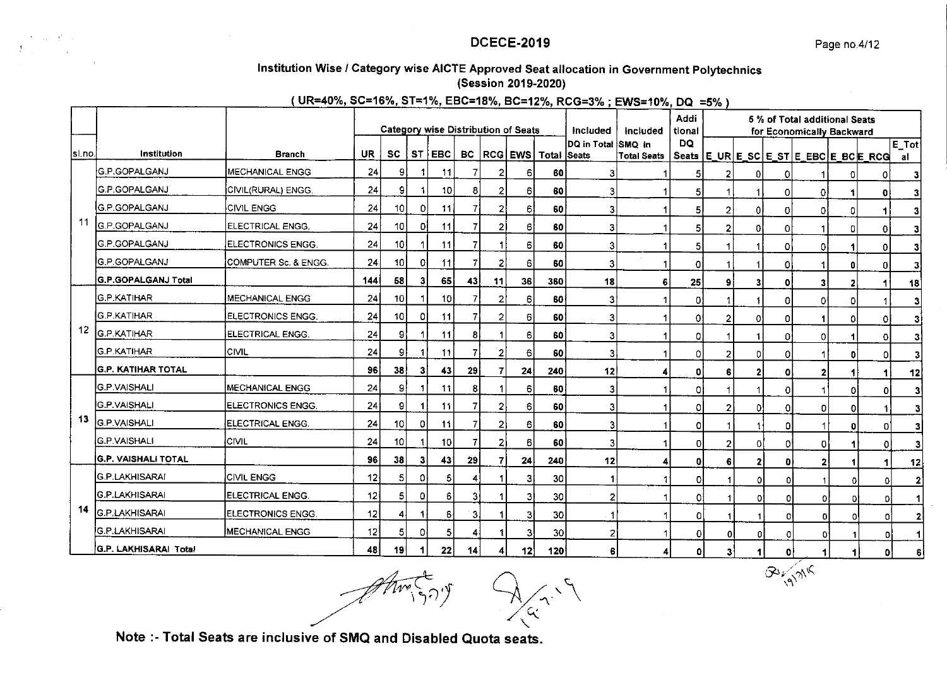$\mathcal{B}^j \leftarrow \mathcal{A}^j \mathcal{A}^k$ 

# Institution Wise / Category wise AICTE Approved Seat allocation in Government Polytechnics (Session 2019-2020)

# (UR=40%, SC=16%, ST=1%, EBC=18%, BC=12%, RCG=3%; EWS=10%, DQ =5%)

|         |                        |                          | <b>Category wise Distribution of Seats</b><br>Included |                 |    |                 |                         |                |                |                                       |                    | Included           | Addi<br>tional |                |              |    | 5 % of Total additional Seats<br>for Economically Backward |              |              |                |
|---------|------------------------|--------------------------|--------------------------------------------------------|-----------------|----|-----------------|-------------------------|----------------|----------------|---------------------------------------|--------------------|--------------------|----------------|----------------|--------------|----|------------------------------------------------------------|--------------|--------------|----------------|
| Isl.no. | Institution            | <b>Branch</b>            | UR                                                     | <b>SC</b>       |    | ST EBC          |                         |                |                | <b>BC</b>   RCG   EWS   Total   Seats | DQ in Total SMO in | <b>Total Seats</b> | DQ             |                |              |    | Seats   E_UR   E_SC   E_ST   E_EBC   E_BC   E_RCG          |              |              | $E\_Tot$<br>al |
|         | G.P.GOPALGANJ          | MECHANICAL ENGG          | 24                                                     | 9               |    | 11              | 7                       |                | 6              | 60                                    | 3                  |                    | 51             | 2              | 0            | Ω  |                                                            |              |              | 3              |
|         | <b>G.P.GOPALGANJ</b>   | CIVIL(RURAL) ENGG.       | 24                                                     | 9               |    | 10              | 8                       |                | 6              | 60                                    | 31                 |                    | 5              |                |              | 0  | ٥I                                                         |              | ΩI           | 3              |
|         | G.P.GOPALGANJ          | <b>CIVIL ENGG</b>        | 24                                                     | 10 <sup>1</sup> | ٥I | 11              | 7                       |                | $6 \mid$       | 60                                    | 3                  |                    | 5              | 2              | 0            | o  | ΟI                                                         | ٥I           |              |                |
| 11      | <b>G.P.GOPALGANJ</b>   | ELECTRICAL ENGG.         | 24                                                     | 10 <sup>1</sup> | οI | 11              | 7                       | 2              | 6              | 60                                    | 3                  |                    | 5              | $\overline{2}$ | 0            | 0  |                                                            | ۵            | 0            | 3              |
|         | IG.P.GOPALGANJ         | ELECTRONICS ENGG.        | 24                                                     | 10 <sub>1</sub> |    | 11              |                         |                | $6 \mid$       | 60                                    | 3                  |                    | 5              |                |              | ٥l | Οl                                                         |              | ΩI           | 3              |
|         | IG.P.GOPALGANJ         | COMPUTER Sc. & ENGG.     | 24                                                     | 10              | 0  | 11              |                         | 2              | 6              | 60                                    | 3                  |                    | Ω              |                |              | 0  |                                                            | 0            | $\Omega$     | 3              |
|         | G.P.GOPALGANJ Total    |                          | 144                                                    | 58              | 31 | 65              | 43                      | 11             | 36             | 360                                   | 18                 | 6                  | 25             | 9              |              | ΟI | 31                                                         |              |              | 18             |
|         | G.P.KATIHAR            | <b>MECHANICAL ENGG</b>   | 24                                                     | 10              |    | 10 <sup>1</sup> |                         | 2              | 6              | 60                                    | 31                 |                    | 0:             |                |              | ٥I | ٥l                                                         | o            |              | 3              |
|         | <b>İ</b> G.P.KATIHAR   | <b>ELECTRONICS ENGG.</b> | 24                                                     | -10             | ٥I | 11              |                         | $\overline{2}$ | 6              | 60                                    | 3                  |                    | 0.             | 2              | 01           | ΟI |                                                            | ΩI           | 0            | 3              |
| 12      | <b>G.P.KATIHAR</b>     | ELECTRICAL ENGG.         | 24                                                     | 91              |    | 11              | 8                       |                | 6.             | 60                                    | 3                  |                    | 0.             |                |              | 01 | οI                                                         |              | <sup>n</sup> | 3              |
|         | IG.P.KATIHAR           | <b>CIVIL</b>             | 24                                                     | 9               |    | 11              |                         | $\overline{2}$ | 6              | 60                                    | 3                  |                    | ٥              | 2              | ΩI           | ٥I |                                                            | $\mathbf{0}$ | n            |                |
|         | IG.P. KATIHAR TOTAL    |                          | 96                                                     | 38              | 3  | 43              | 29                      |                | 24             | 240                                   | 12                 |                    | ٥              | 6              | 2            | ٥۱ | 21                                                         | 1            |              | 12             |
|         | <b>IG P VAISHALI</b>   | <b>MECHANICAL ENGG</b>   | 24                                                     | 91              |    | 11              | 8                       |                | 6              | 60                                    | 3                  |                    | ٥I             |                |              | ΩI |                                                            | 01           | ٥I           | 3              |
|         | <b>IG.P.VAISHALI</b>   | <b>ELECTRONICS ENGG</b>  | 24                                                     | 9               |    | 11              |                         | $\overline{2}$ | 6              | 60                                    | 3                  |                    | ٥I             | 2              | 0.           | ΩI | ٥I                                                         | οI           |              | 3              |
| 13      | G.P.VAISHALI           | <b>ELECTRICAL ENGG.</b>  | 24                                                     | 10              | ٥I | 11              |                         | 2 <sup>1</sup> | 6 <sub>1</sub> | 60                                    | 3                  |                    | οI             |                |              | ۵I |                                                            | O            | ٥l           | 3              |
|         | <b>G.P.VAISHALI</b>    | <b>CIVIL</b>             | 24                                                     | 10              |    | 10              |                         | 21             | 6              | 60                                    | 3                  |                    | ٥I             | $\overline{2}$ | οl           | O. | ٥I                                                         |              | οl           | 3              |
|         | ÍG.P. VAISHALI TOTAL   |                          | 96                                                     | 38              | 3  | 43              | 29                      |                | 24             | 240                                   | 12                 | 4                  | 01             | 6              | $\mathbf{2}$ | o  | 2 <sub>1</sub>                                             |              |              | 12             |
|         | IG P LAKHISARAI        | <b>CIVIL ENGG</b>        | 12                                                     | 5               | ΩI | 5               | 4                       |                | 3              | 30                                    |                    |                    | ol             |                | ΟI           | n  |                                                            | Ω            | 0            | 2              |
|         | G.P.LAKHISARAI         | ELECTRICAL ENGG.         | 12                                                     | 5               | ٥I | 6 <sub>1</sub>  | 3                       |                | 3              | 30                                    | 2                  |                    | ٥l             |                | $\Omega$     | n  | ٥I                                                         | ٥            | ΩI           |                |
| 14      | <b>G.P.LAKHISARA</b> I | <b>ELECTRONICS ENGG</b>  | 12                                                     | 4               |    | 6               | $\overline{\mathbf{3}}$ |                | З              | 30 <sup>°</sup>                       |                    |                    | ٥I             |                |              |    | οI                                                         | $\Omega$     | Oi           | 2              |
|         | İG.P.LAKHISARAI        | <b>MECHANICAL ENGG</b>   | 12                                                     | 5               | ۵l | 5 <sub>1</sub>  | 4                       |                | 3              | 30 <sub>2</sub>                       | $\mathbf{2}$       |                    | ٥I             | 0              | n            | 0  | οl                                                         |              | $\mathbf{0}$ |                |
|         | G.P. LAKHISARAI Total  |                          | 48                                                     | 19              |    | 22              | 14                      | 41             | 12             | 120                                   | 6                  | 4                  | 01             | 3              |              | 0  | 1                                                          |              | n            |                |

 $\langle \gamma \gamma \rangle$  $\left\langle \gamma\right\rangle$ 

Note :- Total Seats are inclusive of SMQ and Disabled Quota seats.

 $\omega_{\rm{L}}=0.5$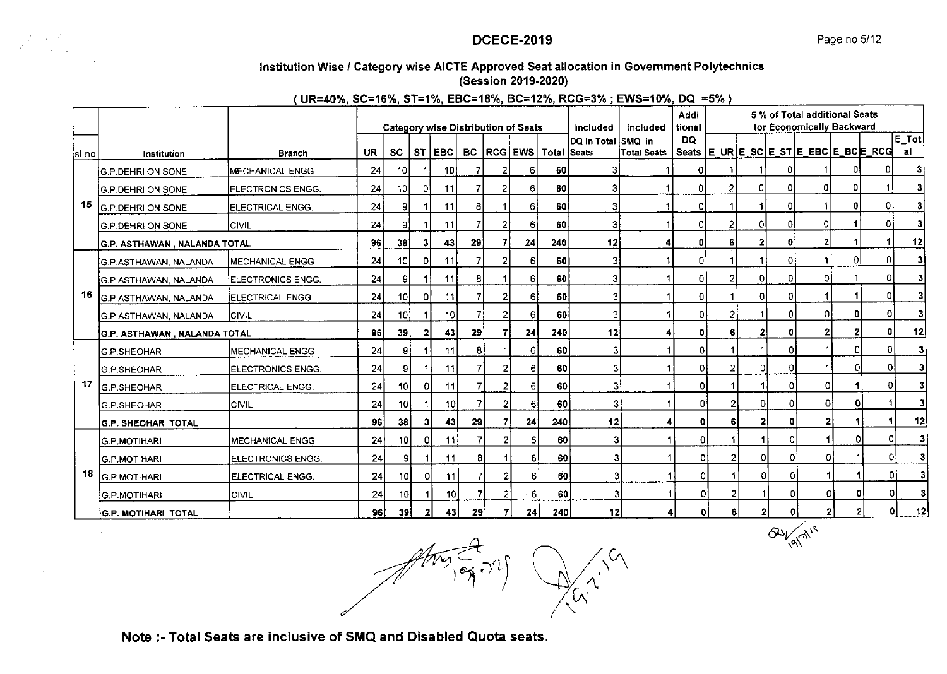$\left. \partial \omega_{\text{eq}} \right|^{2/5}$ 

# Institution Wise / Category wise AICTE Approved Seat allocation in Government Polytechnics

(Session 2019-2020)

# (UR=40%, SC=16%, ST=1%, EBC=18%, BC=12%, RCG=3%; EWS=10%, DQ =5%)

|        |                               |                           |           |                 |    |                  |    |    | <b>Category wise Distribution of Seats</b> |                                | Included           | included | Addi<br>tional |   |          |              | 5 % of Total additional Seats<br>for Economically Backward |          |    |                  |
|--------|-------------------------------|---------------------------|-----------|-----------------|----|------------------|----|----|--------------------------------------------|--------------------------------|--------------------|----------|----------------|---|----------|--------------|------------------------------------------------------------|----------|----|------------------|
| sl.no. | Institution                   | <b>Branch</b>             | <b>UR</b> | SC              |    | ST EBC           |    |    |                                            | BC   RCG   EWS   Total   Seats | DQ in Total SMQ in |          | DQ             |   |          |              |                                                            |          |    | $E\_Tot$<br>-al- |
|        | <b>G.P.DEHRI ON SONE</b>      | <b>MECHANICAL ENGG</b>    | 24        | 10              |    | 10               |    |    | 6                                          | 60                             |                    |          | Ω              |   |          |              |                                                            |          |    |                  |
|        | <b>G.P.DEHRI ON SONE</b>      | <b>IELECTRONICS ENGG.</b> | 24        | -10 l           | ٥I | 11               | 7  |    | 6                                          | 60                             | 3                  |          | 01             |   | $\Omega$ | O            | ٥I                                                         |          |    |                  |
| 15     | <b>G.P.DEHRI ON SONE</b>      | <b>ELECTRICAL ENGG.</b>   | 24        | 91              |    | 111              | 8  |    | 61                                         | 60                             | 3                  |          | 0              |   |          | 01           |                                                            |          |    |                  |
|        | <b>G.P.DEHRI ON SONE</b>      | Icivil                    | 24        | 9.              |    | 11               |    |    | 61                                         | 60                             | 3                  |          | O.             |   | ΩI       | ΩI           | ΩI                                                         |          |    |                  |
|        | G.P. ASTHAWAN , NALANDA TOTAL |                           | 96        | 38              | 31 | 43               | 29 |    | 24                                         | 240                            | 12                 |          | O۱             | 6 |          | o            | 2                                                          |          |    | 12               |
|        | İG.P.ASTHAWAN, NALANDA        | <b>IMECHANICAL ENGG</b>   | 24        | 10              | ٥I | 11               |    |    | 61                                         | 60                             | 3                  | 1        | O)             |   |          |              |                                                            | ٥l       | οI | 3                |
|        | ÍG.P.ASTHAWAN. NALANDA        | <b>IELECTRONICS ENGG.</b> | 24        | 9               |    | 11               | 8  |    | 61                                         | 60                             | 3                  |          | ٥I             |   | 0l       | n.           | o                                                          |          | n  |                  |
| 16     | G.P.ASTHAWAN, NALANDA         | ÍELECTRICAL ENGG.         | 24        | 10 <sup>1</sup> | Οł | 11               |    |    | 6l                                         | 60                             | 3                  |          | οI             |   | Ωl       |              |                                                            |          | ٥I | 3                |
|        | G.P.ASTHAWAN, NALANDA         | ICIVIL                    | 24        | 10              |    | 10 <sup>1</sup>  |    |    | 61                                         | 60                             | 3                  |          | O.             |   |          |              | Ωl                                                         |          |    |                  |
|        | G.P. ASTHAWAN , NALANDA TOTAL |                           | 96        | 39              |    | 43               | 29 |    | 24                                         | 240                            | 12                 |          | $\mathbf{0}$   |   | 2        |              | $\mathbf{2}$                                               | 2        | n  | 12               |
|        | G.P.SHEOHAR                   | MECHANICAL ENGG           | 24        | 9I              |    | 11               | 8  |    | 6                                          | 60                             | 3                  |          | οl             |   |          | 0            |                                                            | $\Omega$ | Οl |                  |
|        | G.P.SHEOHAR                   | ELECTRONICS ENGG.         | 24        | -91             |    | 11               | 7  | 2  | 6                                          | 60                             | 3                  |          | 0              | 2 |          | n            |                                                            | -O.      | ٥I | 3                |
| 17     | G.P.SHEOHAR                   | ELECTRICAL ENGG.          | 24        | 10 <sup>1</sup> | οI | 11               | 7  | 21 | 6                                          | 60                             | 3                  |          | $\mathbf 0$    |   |          | ٥١           | Οl                                                         |          | ٥I | $\mathbf{3}$     |
|        | <b>G.P.SHEOHAR</b>            | Icivil                    | 24        | 10              |    | 10I              |    | 2  | 6                                          | 60                             | 3                  |          | $\mathbf{0}$   |   | ٥I       | 0            | 0                                                          | O.       |    | $\mathbf{3}$     |
|        | <b>G.P. SHEOHAR TOTAL</b>     |                           | 96        | 38              | 31 | 43 <sub>1</sub>  | 29 |    | 24                                         | 240                            | 12                 |          | 0              |   | 21       | $\mathbf{0}$ | $\overline{2}$                                             |          |    | 12               |
|        | <b>IG.P.MOTIHARI</b>          | <b>IMECHANICAL ENGG</b>   | 24        | 10              | οı | 11               | 7  | 2  | 6                                          | 60                             | 3                  |          | οI             |   |          | 0            |                                                            | Ω        | 0  | $\mathbf{3}$     |
|        | <b>G.P.MOTIHARI</b>           | <b>IELECTRONICS ENGG.</b> | 24        | 9               |    | 11               | 8  |    | 6                                          | 60                             | 3                  |          | οl             |   | ΩI       | 0            | $\Omega$                                                   |          | o  | $\mathbf{3}$     |
| 18     | IG.P.MOTIHARI                 | <b>ELECTRICAL ENGG.</b>   | 24        | 10 I            | οı | 11               |    |    | 6                                          | 60                             | 3                  |          | $\Omega$       |   | 0        | 0            |                                                            |          | οı | 3                |
|        | <b>G.P.MOTIHARI</b>           | ICIVIL                    | 24        | 10              |    | 10 <sub>10</sub> |    |    | 6                                          | 60                             | 3                  |          | $\mathbf{0}$   |   |          | ٥I           | 0l                                                         | ΩI       | 0  | 3                |
|        | <b>G.P. MOTIHARI TOTAL</b>    |                           | 96        | <b>391</b>      | 21 | 43               | 29 |    | 24                                         | 240                            | 12 <sup>1</sup>    |          | 0              | 6 | 2        | $\mathbf{0}$ | 2                                                          |          | 0  | 12               |

 $\mathcal{S}_{\lambda}$ .  $\mathcal{S}^{(1)}$ 

Note :- Total Seats are inclusive of SMQ and Disabled Quota seats.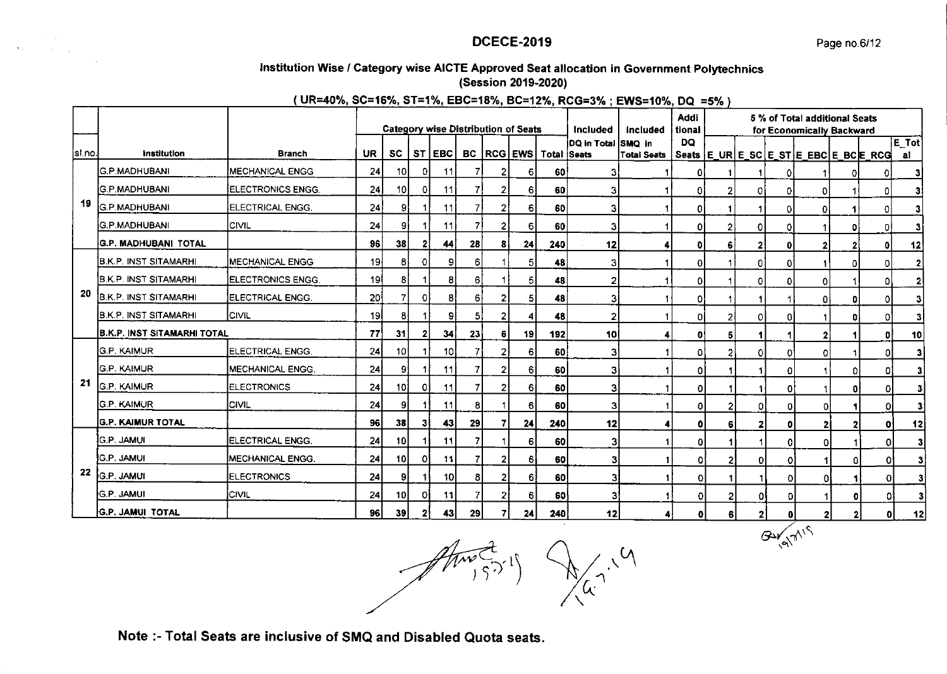# Institution Wise / Category wise AICTE Approved Seat allocation in Government Polytechnics (Session 2019-2020)

(UR=40%, SC=16%, ST=1%, EBC=18%, BC=12%, RCG=3%; EWS=10%, DQ =5%)

|         |                                    |                          |                 |                 |              |               |                |   | <b>Category wise Distribution of Seats</b> |                                     | <b>Included</b>    | Included           | Addi<br>tional |              |              |                                  | 5 % of Total additional Seats         |              |                |       |
|---------|------------------------------------|--------------------------|-----------------|-----------------|--------------|---------------|----------------|---|--------------------------------------------|-------------------------------------|--------------------|--------------------|----------------|--------------|--------------|----------------------------------|---------------------------------------|--------------|----------------|-------|
|         |                                    |                          |                 |                 |              |               |                |   |                                            |                                     | DQ in Total SMQ in |                    | DQ             |              |              |                                  | for Economically Backward             |              |                | E Tot |
| [sl.no. | <b>Institution</b>                 | <b>Branch</b>            | <b>UR</b>       | <b>SC</b>       |              | ST EBC        |                |   |                                            | <b>BC</b>   RCG   EWS   Total Seats |                    | <b>Total Seats</b> |                |              |              |                                  | Seats E_UR E_SC E_ST E_EBC E_BC E_RCG |              |                | al    |
|         | <b>IG.P.MADHUBANI</b>              | <b>IMECHANICAL ENGG</b>  | 24              | 10I             | 01           | 11            |                | 2 | 6                                          | 60                                  | 31                 |                    | 01             |              |              | 01                               |                                       |              | ΟI             |       |
|         | <b>İG.P.MADHUBANI</b>              | ELECTRONICS ENGG.        | 24              | 10 <sub>l</sub> | 0            | 11            |                | 2 | 6                                          | 60                                  |                    |                    | ٥ı             | 2            | ٥I           | οI                               | 0                                     |              | οI             |       |
| 19      | <b>G.P.MADHUBANI</b>               | ELECTRICAL ENGG.         | 24              | 9               |              | 11            | 7              | 2 | 6                                          | 60                                  | 31                 |                    | Οi             |              | 1            | οI                               | $\Omega$                              |              | οI             |       |
|         | <b>G.P.MADHUBANI</b>               | <b>ICIVIL</b>            | 24              | 91              |              | 11            | $\overline{7}$ | 2 | 61                                         | 60                                  | 31                 |                    | ٥I             | 21           | 01           | 0                                |                                       | Ω            | $\overline{0}$ |       |
|         | <b>G.P. MADHUBANI TOTAL</b>        |                          | 96              | 38              |              | 44            | 28             | 8 | 24                                         | 240                                 | 12                 |                    | ٥I             | 6            | $\mathbf{2}$ | $\mathbf{0}$                     | $\mathbf{2}$                          |              | $\mathbf{0}$   | 12    |
|         | B.K.P. INST SITAMARHI              | <b>IMECHANICAL ENGG</b>  | 19 <sub>1</sub> | 81              | 0            | 9             | 6              |   | 5                                          | 48                                  | 31                 |                    | ٥I             |              | $\mathbf{0}$ | 0                                |                                       | $\Omega$     | ٥              |       |
|         | B.K.P. INST SITAMARHI              | ELECTRONICS ENGG.        | ا19             | 8               |              | 8             | 6              |   | 5                                          | 48                                  | 2                  |                    | ٥I             |              | 0            | 0                                | $\circ$                               |              | o              |       |
| 20      | <b>B.K.P. INST SITAMARHI</b>       | <b>ELECTRICAL ENGG.</b>  | 20              | 7               | 01           | 8             | 6              | 2 | 51                                         | 48                                  | 31                 |                    | ٥I             |              | $\mathbf{1}$ | 1                                | $\Omega$                              | 0            | 0              |       |
|         | B.K.P. INST SITAMARHI              | <b>CIVIL</b>             | 19 <sup>1</sup> | 81              |              | 9             | 51             | 2 | 4                                          | 48                                  | $\mathbf{2}$       |                    | Οl             | 2            | 0            | 0                                |                                       | $\mathbf{0}$ | οl             |       |
|         | <b>B.K.P. INST SITAMARHI TOTAL</b> |                          | 77              | 31              | 2            | 34            | 23             | 6 | 19                                         | 192                                 | 10 <sup>1</sup>    |                    | O۱             | 5            | 1            |                                  |                                       |              | 0              | 10    |
|         | <b>G.P. KAIMUR</b>                 | <b>JELECTRICAL ENGG.</b> | 24              | $10^{\circ}$    |              | 10            |                | 2 | 61                                         | 60                                  | 3                  |                    | O.             | 2            | 0            | O                                | O                                     |              | ol             | 31    |
|         | <b>G.P. KAIMUR</b>                 | <b>MECHANICAL ENGG</b>   | 24              | 9               |              | 11            |                | 2 | 61                                         | 60                                  | 3                  |                    | 0              |              |              | 0                                |                                       | Οł           | o              |       |
| 21      | <b>G.P. KAIMUR</b>                 | <b>ELECTRONICS</b>       | 24              | 101             | 0.           | 11            |                | 2 | 61                                         | 60                                  | 3.                 |                    | 0              |              |              | 0                                |                                       |              | $\Omega$       |       |
|         | <b>G.P. KAIMUR</b>                 | <b>CIVIL</b>             | 24              | 91              |              | 11            | 8              |   | 61                                         | 60                                  | 3                  |                    | 0              | 2            | 0            | 0                                | O.                                    |              | $\Omega$       | 3     |
|         | <b>G.P. KAIMUR TOTAL</b>           |                          | 96              | 38              | 31           | 43            | 29             |   | 24                                         | 240                                 | 12                 |                    |                | 6            | $\mathbf 2$  | $\mathbf{0}$                     |                                       |              | 0              | 12    |
|         | ]G.P. JAM∪I                        | ELECTRICAL ENGG.         | 24              | 10I             |              | 11            |                |   | 6                                          | 60                                  | 31                 |                    | $\Omega$       |              | -1           | 0                                | ٥I                                    |              | 0              | 31    |
|         | <b>G.P. JAMUI</b>                  | MECHANICAL ENGG.         | 24              | 10I             | O.           | 11            |                |   | 61                                         | 60                                  |                    |                    | o              | $\mathbf{2}$ | $\mathbf 0$  | 0                                |                                       | n            | ΩI             | 3     |
| 22      | <b>G.P. JAMUI</b>                  | <b>ELECTRONICS</b>       | 24              | 91              |              | 10            | 81             |   | 61                                         | 60                                  |                    |                    | 0              | 1            |              | $\overline{0}$                   | ٥I                                    |              | 0l             | 31    |
|         | <b>G.P. JAMUI</b>                  | ICIVIL                   | 24              | 10I             | ΩI           | 11            | 7              | 2 | 6                                          | 60                                  | 3                  |                    | 0              | 2            | ٥I           | $\overline{0}$                   |                                       | Ω            | ٥l             | 3     |
|         | <b>G.P. JAMUI TOTAL</b>            |                          | 96              | 39              | $\mathbf{2}$ | 43            | 29             |   | 24                                         | 240                                 | 12                 | 4                  | o              | 6            | $\mathbf{2}$ | $\mathbf{0}$                     |                                       | $\mathbf{2}$ | ٥l             | 12    |
|         |                                    |                          |                 |                 |              | $\mathcal{A}$ |                |   |                                            |                                     |                    |                    |                |              |              | GΔV<br>$\langle \bullet \rangle$ | <b>CALL</b>                           |              |                |       |

 $\sum_{y \in S} \sum_{i,j}$ 

Note :- Total Seats are inclusive of SMQ and Disabled Quota seats.

 $\mathbf{v}_k$  , and  $\mathbf{v}_k$  ,  $\mathbf{v}_k$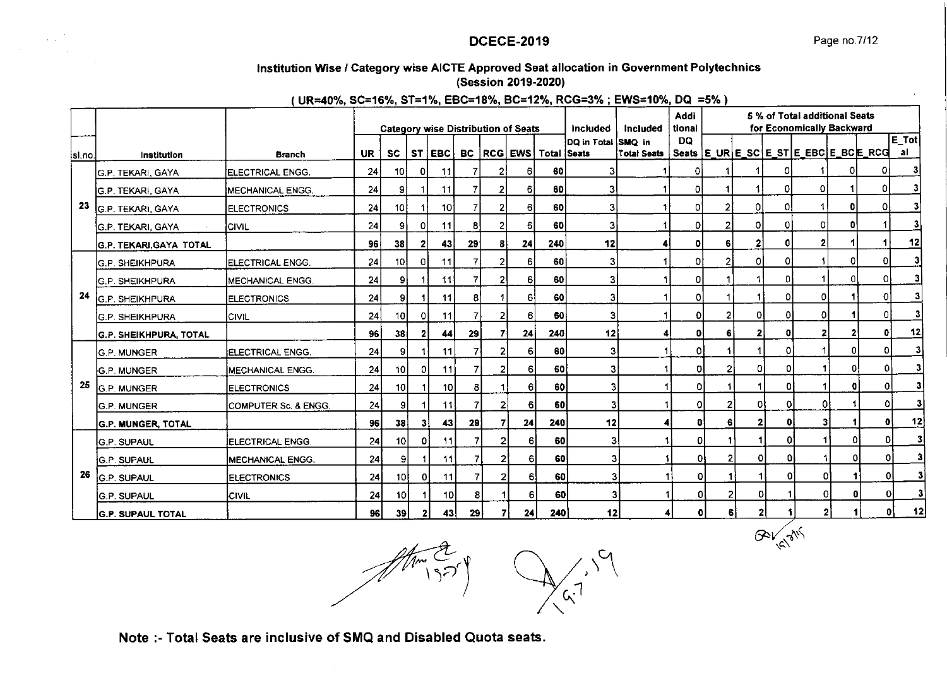GOV GIVS

#### lnstitution Wise / Category wise AICTE Approved Seat allocation in Government Polytechnics (Session 2019-2020l

(UR=40%, SC=16%, ST=1%, EBC=18%, BC=12%, RCG=3%; EWS=10%, DQ =5%)

|         |                           |                          |           |                 |                |                 |                |                |                                            |                                       |                                       |                    | Addi         |    |                   |    | 5 % of Total additional Seats |              |                                  |              |
|---------|---------------------------|--------------------------|-----------|-----------------|----------------|-----------------|----------------|----------------|--------------------------------------------|---------------------------------------|---------------------------------------|--------------------|--------------|----|-------------------|----|-------------------------------|--------------|----------------------------------|--------------|
|         |                           |                          |           |                 |                |                 |                |                | <b>Category wise Distribution of Seats</b> |                                       | <b>Included</b><br>DQ in Total SMQ in | Included           | tional<br>DQ |    |                   |    | for Economically Backward     |              |                                  | $E$ Tot      |
| isl.no. | Institution               | <b>Branch</b>            | <b>UR</b> | <b>SC</b>       |                | ST EBC          |                |                |                                            | <b>BC   RCG   EWS   Total   Seats</b> |                                       | <b>Total Seats</b> |              |    |                   |    |                               |              | Seats E URE SCE STE EBCE BCE RCG | al           |
|         | G.P. TEKARI, GAYA         | ELECTRICAL ENGG.         | 24        | 10              | 0              | 11              |                |                | 6                                          | 60                                    | 31                                    |                    | ٥I           |    |                   |    |                               |              | 01                               | з            |
|         | <b>G.P. TEKARI, GAYA</b>  | <b>MECHANICAL ENGG.</b>  | 24        | 9               |                | 11              |                |                | 6                                          | 60 l                                  | 3                                     |                    | ٥I           |    |                   | 01 | ٥I                            |              | 01                               |              |
| 23      | G.P. TEKARI, GAYA         | <b>ELECTRONICS</b>       | 24        | 10              |                | 10 l            |                | 21             | 6                                          | 60                                    | 3                                     |                    | 0            | 2  | 0                 | 01 |                               | 0            | 0                                |              |
|         | G.P. TEKARI, GAYA         | <b>CIVIL</b>             | 24        | 91              | ΩI             | 11              | 8              | $\overline{2}$ | ĥ.                                         | 60                                    | 3                                     |                    | ٥I           |    | οı                | ΩI | ٥I                            | n            |                                  |              |
|         | G.P. TEKARI, GAYA TOTAL   |                          | 96        | 38              | $\mathbf{2}$   | 43              | 29             | 81             | 24                                         | 240                                   | 12                                    |                    | $\mathbf{0}$ |    | $\mathbf{2}$      | ٥I | $\mathbf{2}$                  |              | и                                | 12           |
|         | G.P. SHEIKHPURA           | IELECTRICAL ENGG.        | 24        | 10 <sub>1</sub> | οı             | 11              |                |                | 6                                          | 60                                    | 3                                     |                    | 0            |    | οI                | o  |                               | $\mathbf{0}$ | οI                               | 31           |
|         | <b>G.P. SHEIKHPURA</b>    | <b>IMECHANICAL ENGG.</b> | 24        | 9               |                | 11              |                |                | 61                                         | 60                                    | 3                                     |                    | 0            |    |                   | n  |                               |              | οI                               | 31           |
| 24      | <b>G.P. SHEIKHPURA</b>    | <b>IELECTRONICS</b>      | 24        | 9               |                | 11              | 8              |                | -61                                        | 60                                    | 3                                     |                    | 0            |    |                   | O. | $\Omega$                      |              | οl                               | 3            |
|         | lg.p. SHEIKHPURA          | lcivil                   | 24        | 10              | οı             | 11              | $\overline{7}$ |                | 61                                         | 60                                    | $\overline{3}$                        |                    | $\Omega$     |    | ٥I                | Λ  | o                             |              | 0                                | $\mathbf{3}$ |
|         | G.P. SHEIKHPURA, TOTAL    |                          | 96        | 38 <sub>1</sub> | 21             | 44              | 29             |                | 24                                         | 240                                   | 12                                    |                    | 0            |    | 2                 | ۵I | $\mathbf{2}$                  |              | 0                                | 12           |
|         | <b>IG.P. MUNGER</b>       | <b>IELECTRICAL ENGG.</b> | 24        | 91              |                | 11              | 7              |                | 61                                         | 60                                    | з                                     |                    | 0            |    |                   | ٥۱ |                               | 01           | οI                               | 3            |
|         | G.P. MUNGER               | MECHANICAL ENGG.         | 24        | 10 <sub>1</sub> | $\Omega$       | 11              |                |                | 6                                          | 60                                    | 3                                     |                    | $\Omega$     |    | $\Omega$          | 0  |                               | Ω۱           | $\Omega$                         | 3            |
| 25      | G.P. MUNGER               | <b>IELECTRONICS</b>      | 24        | 10 <sup>1</sup> |                | 10 <sup>1</sup> | 8              |                | 61                                         | 60                                    | 3                                     |                    | D            |    |                   | Đİ |                               |              | οI                               | 3            |
|         | <b>G.P. MUNGER</b>        | COMPUTER Sc. & ENGG.     | 24        | 91              |                | <b>11</b>       |                | 21             | 61                                         | 60                                    | 3                                     |                    | $\Omega$     |    | 01                | 0  | O                             |              | 0                                | 3            |
|         | <b>G.P. MUNGER, TOTAL</b> |                          | 96        | 38 <sup>1</sup> | 31             | 43              | 29             | 7              | 24                                         | 240                                   | 12                                    |                    | $\mathbf{0}$ | 61 | 2                 | 0  | з                             |              | o                                | 12           |
|         | <b>IG.P. SUPAUL</b>       | <b>IELECTRICAL ENGG.</b> | 24        | 10              | $\overline{0}$ | 11              |                | $\overline{2}$ | 6                                          | 60                                    | 3                                     |                    | ٥I           |    |                   | Οİ |                               |              | 0.                               | 3            |
|         | <b>G.P. SUPAUL</b>        | <b>IMECHANICAL ENGG.</b> | 24        | 91              |                | 11              |                |                | 61                                         | 60                                    |                                       |                    | 01           |    | 0                 | O  |                               |              | ΩI                               | 3            |
| 26      | <b>G.P. SUPAUL</b>        | <b>ELECTRONICS</b>       | 24        | 10I             | οI             | 11              |                | 2              | 61                                         | 60 l                                  |                                       | 31                 | οI           |    | 1                 | οl |                               | 01           | Οl                               |              |
|         | <b>IG.P. SUPAUL</b>       | <b>CIVIL</b>             | 24        | 101             | 11             | 10              | 81             |                | $6 \mid$                                   | 60                                    |                                       |                    | ٥ı           |    | 21<br>0           |    |                               | οı           | ΟI<br>ΩI                         |              |
|         | <b>G.P. SUPAUL TOTAL</b>  |                          | 96 I      | 39              | $\mathbf{2}$   | 43              | 29             |                | 24                                         | 240                                   | 12                                    |                    |              |    | $\mathbf{2}$<br>6 |    |                               |              |                                  | 12           |

 $\mathcal{P}'$  $\searrow$ 

Note :- Total Seats are inclusive of SMQ and Disabled Quota seats.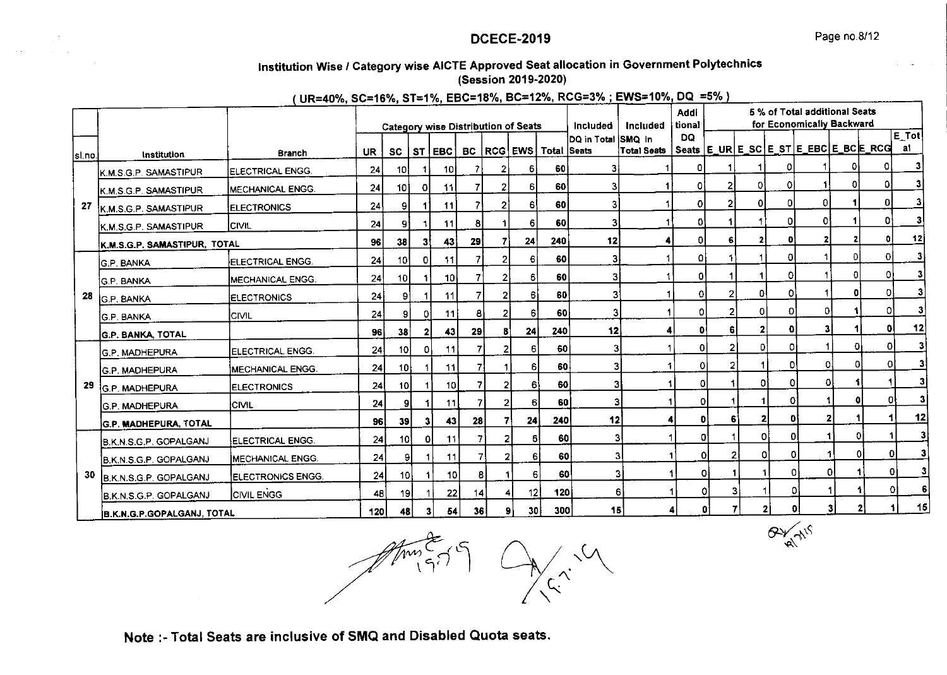$\alpha$ 

# Institution Wise / Category wise AICTE Approved Seat allocation in Government Polytechnics (Session 2019-2020)

(UR=40%, SC=16%, ST=1%, EBC=18%, BC=12%, RCG=3%; EWS=10%, DQ =5%)

|        |                              | --------                 |     |                 |           |                 |                 |    | <b>Category wise Distribution of Seats</b> |             | Included             | Included    | Addi<br>tional |    |    |                              | 5 % of Total additional Seats<br>for Economically Backward |          |    |                              |
|--------|------------------------------|--------------------------|-----|-----------------|-----------|-----------------|-----------------|----|--------------------------------------------|-------------|----------------------|-------------|----------------|----|----|------------------------------|------------------------------------------------------------|----------|----|------------------------------|
|        |                              |                          |     |                 |           |                 |                 |    |                                            |             | ÌDQ in Total ÌSMQ ∃n |             | DQ             |    |    |                              |                                                            |          |    | $\overline{\mathsf{E\_Tot}}$ |
| si.no. | Institution                  | <b>Branch</b>            | UR. | <b>SC</b>       | <b>ST</b> | <b>EBC</b>      |                 |    | BC   RCG   EWS                             | Total Seats |                      | Total Seats |                |    |    |                              | Seats E_URE_SCE_STE_EBCE_BCE_RCG                           |          |    | al                           |
|        | K.M.S.G.P. SAMASTIPUR        | <b>ELECTRICAL ENGG.</b>  | 24  | 10 <sup>1</sup> |           | 10 <sub>l</sub> |                 |    | 6                                          | 60          |                      |             |                |    |    |                              |                                                            |          | 01 |                              |
|        | K.M.S.G.P. SAMASTIPUR        | <b>IMECHANICAL ENGG.</b> | 24  | <b>101</b>      | ΟI        | 11              |                 |    | 61                                         | 60          | 31                   |             | ٥              |    | 0  | 0                            |                                                            | Οl       | οI | 3                            |
| -27    | K.M.S.G.P. SAMASTIPUR        | <b>ELECTRONICS</b>       | 24  | 91              |           | 11              |                 | 2  | 61                                         | 60          | 31                   |             | 01             |    | 0  | ٥I                           | ΩI                                                         |          | ΟI |                              |
|        | K.M.S.G.P. SAMASTIPUR        | ICIVIL                   | 24  | 91              |           | 11              | 8               |    | 6                                          | 60          | 31                   |             | O.             |    |    | οI                           | O۱                                                         |          | Ωi |                              |
|        | K.M.S.G.P. SAMASTIPUR, TOTAL |                          | 96  | 38              | 31        | 43              | 29              |    | 24                                         | 240         | 12                   |             | ٥I             | 6  | 2  | Đ                            | 2                                                          |          | ol | 12                           |
|        | <b>G.P. BANKA</b>            | <b>ELECTRICAL ENGG.</b>  | 24  | 10 <sup>1</sup> | οı        | 11              | 71              |    | 6                                          | 60          | 3                    |             | 0              |    |    |                              |                                                            | n        |    | 3                            |
|        | <b>IG.P. BANKA</b>           | MECHANICAL ENGG.         | 24  | 10 <sup>1</sup> |           | 10ł             | 71              |    | 61                                         | 60          | 3                    |             | ٥I             |    |    |                              |                                                            | 01       | ٥I | 3                            |
| 28     | G.P. BANKA                   | <b>ELECTRONICS</b>       | 24  | 9               |           | 11              | 7               |    | 6I                                         | 60          |                      | 31          | 01             | 2  | ٥I | n.                           |                                                            | 0        | 0  |                              |
|        | <b>G.P. BANKA</b>            | <b>CIVIL</b>             | 24  | 9               | 01        | 11              | 8               |    | 61                                         | 60          |                      | 3           | O.             |    | ٥I | ٥l                           | οI                                                         |          | Οl |                              |
|        | <b>G.P. BANKA, TOTAL</b>     |                          | 96  | 38              | 21        | 43              | 29              | 81 | 24                                         | 240         | 12                   |             | $\mathbf{0}$   | 6  | 2  | ΩI                           | 31                                                         |          | ٥l | 12                           |
|        | <b>G.P. MADHEPURA</b>        | ELECTRICAL ENGG.         | 24  | 10 <sup>1</sup> | 0         | 11              | 7               | 2١ | 6                                          | 60          |                      | 3           | $\overline{0}$ |    | οl | 0                            |                                                            | ΩI       | ٥I | 31                           |
|        | <b>G.P. MADHEPURA</b>        | <b>MECHANICAL ENGG.</b>  | 24  | 10 <sub>1</sub> |           | 11              | 7               |    | 61                                         | 60          | 3                    |             | 0I             |    |    | D.                           | 0                                                          | $\Omega$ | Οl | 3                            |
| 29     | <b>G.P. MADHEPURA</b>        | <b>ELECTRONICS</b>       | 24  | 10 <sup>1</sup> |           | 10 I            | 7               | 2  | 6                                          | 60          |                      | 3           | οl             |    | Οİ | 01                           | $\overline{0}$                                             |          |    | $\overline{\mathbf{3}}$      |
|        | <b>G.P. MADHEPURA</b>        | ICIVIL                   | 24  | 9               |           | 11              |                 |    | 61                                         | 60          |                      | 3           | 0              |    |    | ٥I                           |                                                            |          | 0  | 3                            |
|        | <b>G.P. MADHEPURA, TOTAL</b> |                          | 96  | 39              | 31        | 43              | 28              |    | 24                                         | 240         | 12                   |             | O              |    |    | $\mathbf{2}$<br>$\mathbf{0}$ | 2                                                          |          |    | 12                           |
|        | B.K.N.S.G.P. GOPALGANJ       | <b>IELECTRICAL ENGG.</b> | 24  | 10 <sup>1</sup> | ٥I        | 11              |                 |    | 6<br>21                                    | 60          |                      | 3           |                | o  |    | $\Omega$<br>ol               |                                                            |          |    | 3                            |
|        | B.K.N.S.G.P. GOPALGANJ       | <b>IMECHANICAL ENGG.</b> | 24  |                 | 91        | 11              |                 |    | 6                                          | 60          |                      | З           |                | ٥I |    | οl<br>o                      |                                                            |          | 0  |                              |
|        | 30<br>B.K.N.S.G.P. GOPALGANJ | ELECTRONICS ENGG.        | 24  | 10 <sub>1</sub> | 1         | 10              | 8               |    | 6                                          | 60          |                      | 3           |                | ٥I |    | 1                            | 0l                                                         | ΟI       | 0  | 3                            |
|        | B.K.N.S.G.P. GOPALGANJ       | <b>CIVIL ENGG</b>        | 48  | 19              |           | 22              | 14              |    | 12<br>4                                    | 120         |                      | 6           |                | ٥l |    | 0                            |                                                            |          | ΩΙ |                              |
|        | B.K.N.G.P.GOPALGANJ, TOTAL   |                          | 120 | 48              | з         | 54              | 36 <sup>°</sup> |    | 30 <sub>l</sub><br>91                      | 300         |                      | 151         |                | Ωł |    | $\overline{2}$               | ΩI                                                         |          | 2  | 15                           |

Note :- Total Seats are inclusive of SMQ and Disabled Quota seats.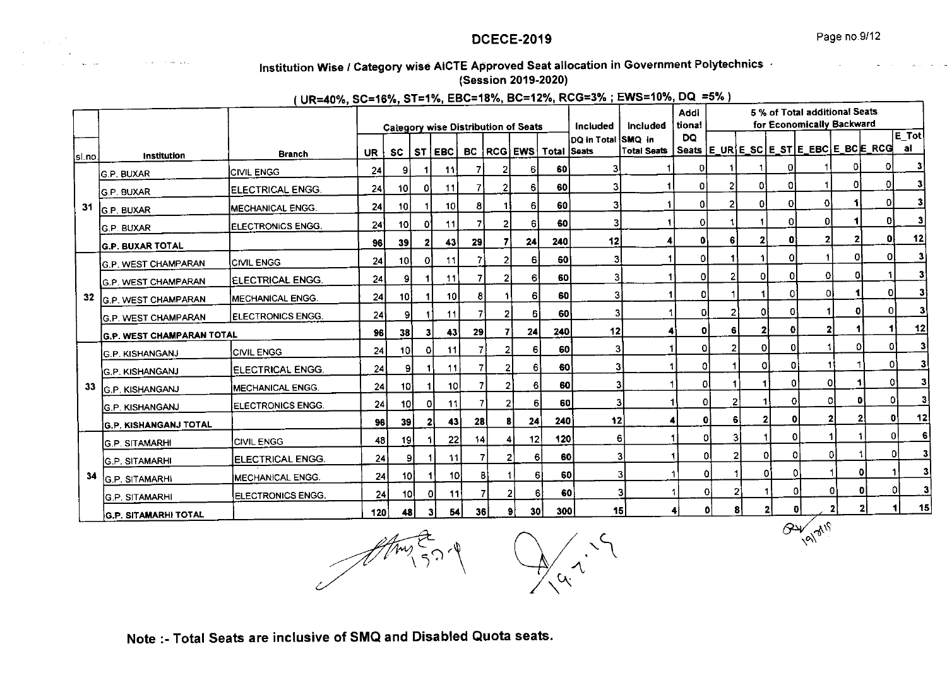$\frac{1}{2}$ 

# Institution Wise / Category wise AICTE Approved Seat allocation in Government Polytechnics

(Session 2019-2020)

(UR=40%, SC=16%, ST=1%, EBC=18%, BC=12%, RCG=3%; EWS=10%, DQ =5%)

|          |                                  |                           |           |                 |     |                 |                 |                |                                     |                                |                            |                    | Addi                |    |                    |               | 5 % of Total additional Seats |          |                                     |                                        |
|----------|----------------------------------|---------------------------|-----------|-----------------|-----|-----------------|-----------------|----------------|-------------------------------------|--------------------------------|----------------------------|--------------------|---------------------|----|--------------------|---------------|-------------------------------|----------|-------------------------------------|----------------------------------------|
|          |                                  |                           |           |                 |     |                 |                 |                | Category wise Distribution of Seats |                                | Included                   | Included           | tiona!<br><b>DQ</b> |    |                    |               | for Economically Backward     |          |                                     | $\mathsf{E}\left[ \mathsf{Tot}\right]$ |
|          |                                  | <b>Branch</b>             | UR.       | SC I            |     | ST EBC          |                 |                |                                     | BC   RCG   EWS   Total   Seats | DO in Total <i>ISMO</i> in | <b>Total Seats</b> |                     |    |                    |               |                               |          | Seats E_URE_SC E_ST E_EBC E_BCE_RCG | al                                     |
| lsi.no.l | Institution                      |                           | 24        | 9               |     | 11              |                 |                | 6                                   | 60                             | 31                         |                    | o                   |    |                    |               |                               |          | ΟI                                  | 3                                      |
|          | İG.P. BUXAR                      | <b>CIVIL ENGG</b>         |           |                 |     |                 |                 |                |                                     |                                |                            |                    |                     |    |                    |               |                               | 0l       |                                     |                                        |
|          | <b>G.P. BUXAR</b>                | <b>ELECTRICAL ENGG.</b>   | 24        | 10I             | 01  | 11              | 7               |                | 6                                   | 60                             |                            |                    | 01                  | 2  | ٥I                 | Οi            |                               |          |                                     |                                        |
| -31      | G.P. BUXAR                       | MECHANICAL ENGG.          | 24        | 10              |     | 10              | 8               |                | 61                                  | 60                             | 3                          |                    | ٥I                  |    |                    | ٥I            | 0                             |          |                                     | 3                                      |
|          | IG.P. BUXAR                      | ELECTRONICS ENGG.         | 24        | 10              | ΩΙ  | 11              | 71              |                | 61                                  | 60                             | 3                          |                    | οı                  |    |                    | 0             | οI                            |          | O۱                                  | 3                                      |
|          | <b>G.P. BUXAR TOTAL</b>          |                           | 96        | 39              | 2   | 43              | 29              |                | 24                                  | 240                            | 12                         |                    | $\mathbf{0}$        | 6  |                    |               | $\mathbf{2}$                  | 2        | ٥I                                  | 12                                     |
|          | G.P. WEST CHAMPARAN              | <b>ICIVIL ENGG</b>        | 24        | 10              | ٥ı  | 11              |                 |                | 6                                   | 60                             | 3                          |                    | $\Omega$            |    |                    |               |                               | 0        | ΩI                                  |                                        |
|          | <b>G.P. WEST CHAMPARAN</b>       | <b>IELECTRICAL ENGG.</b>  | 24        | 91              |     | 11              |                 |                | 6                                   | 60                             | 3                          |                    | $\Omega$            |    | $\Omega$           | 01            | 01                            | 0        |                                     | 3                                      |
| 32       | G.P. WEST CHAMPARAN              | <b>IMECHANICAL ENGG.</b>  | 24        | 10)             |     | 10 <sup>1</sup> | 8               |                | 6                                   | 60                             | 3                          |                    | 01                  |    |                    | O.            | ٥I                            |          | οI                                  | 31                                     |
|          | <b>G.P. WEST CHAMPARAN</b>       | <b>IELECTRONICS ENGG.</b> | 24        | 91              |     | 11              |                 | 2              | 6                                   | 60 l                           | 3                          |                    | -OI                 |    | 01                 | 0             |                               | o        | 0l                                  | $\mathbf{3}$                           |
|          | <b>G.P. WEST CHAMPARAN TOTAL</b> |                           | 96        | 38 I            | 31  | 43              | 29              | 7              | 24                                  | 240                            | 12                         |                    | 0                   | 6  | 21                 | ٥I            | $\mathbf{z}$                  |          |                                     | 12                                     |
|          | <b>G.P. KISHANGANJ</b>           | <b>ICIVIL ENGG</b>        | 24        | 10 <sup>1</sup> | ٥I  | 11              |                 | 21             | 6                                   | 60                             | 3                          |                    | 0                   |    | ٥I                 | $\Omega$      |                               | Ω        | 0                                   | 3                                      |
|          | <b>IG.P. KISHANGANJ</b>          | ELECTRICAL ENGG.          | 24        | 91              |     | 11              |                 | $\overline{2}$ | 61                                  | 60                             | 3                          |                    | O.                  |    | O.                 | ٥I            |                               |          | 01                                  | 3                                      |
| 33       | <b>G.P. KISHANGANJ</b>           | <b>MECHANICAL ENGG.</b>   | 24        | 10 <sup>1</sup> |     | 10I             |                 | 2              | 6                                   | 60                             | З                          |                    | οI                  |    |                    | 0             | 01                            |          | 01                                  | 3                                      |
|          | <b>G.P. KISHANGANJ</b>           | ELECTRONICS ENGG.         | 24        | 10              | οI  | 11              |                 | 2              | 61                                  | 60                             |                            |                    | οI                  |    |                    | 0             | οI                            |          | 0                                   |                                        |
|          | <b>G.P. KISHANGANJ TOTAL</b>     |                           | <b>96</b> | 39              | -21 | 43              | 28 <sup>1</sup> | 81             | 24                                  | 240                            | 12                         |                    | Ω                   |    | $\mathbf{2}$<br>61 | O             |                               | 21       | ٥I                                  | 12                                     |
|          | <b>GP. SITAMARHI</b>             | <b>CIVIL ENGG</b>         | 48        | 19              |     | 22              | 14 <sup>1</sup> | $\vert$        | 12                                  | 120                            |                            | 6                  | o,                  |    | 3                  | 0             |                               |          | ΩI                                  | 6                                      |
|          | IG.P. SITAMARHI                  | ELECTRICAL ENGG.          | 24        |                 | 91  | 11              |                 | 2              | 6                                   | 60                             |                            |                    |                     | ٥I |                    | $\Omega$<br>0 |                               | $\Omega$ |                                     |                                        |
| 34       | <b>GP SITAMARHI</b>              | MECHANICAL ENGG.          | 24        | 10 <sup>1</sup> |     | 10              |                 |                | 6                                   | 60                             |                            |                    | 1                   | ٥I | 1                  | Οl<br>O       |                               |          | 0                                   |                                        |
|          | <b>IG.P. SITAMARHI</b>           | ELECTRONICS ENGG.         | 24        | 10I             | ΟI  | 11              |                 | 2              | 61                                  | 60                             |                            | з١                 | 1                   | 01 |                    | Ω             |                               | 0l       | o                                   |                                        |
|          | <b>G.P. SITAMARHI TOTAL</b>      |                           | 120       | 48              | 31  | 54              | 36 <sup>1</sup> |                | 30 <sup>°</sup><br>91               | 300                            |                            | 15 <sup>1</sup>    | 4                   | o  | 8                  | 2             | Đ١                            | 2        | $\mathbf{z}$                        | 15                                     |

 $\boldsymbol{\lambda}$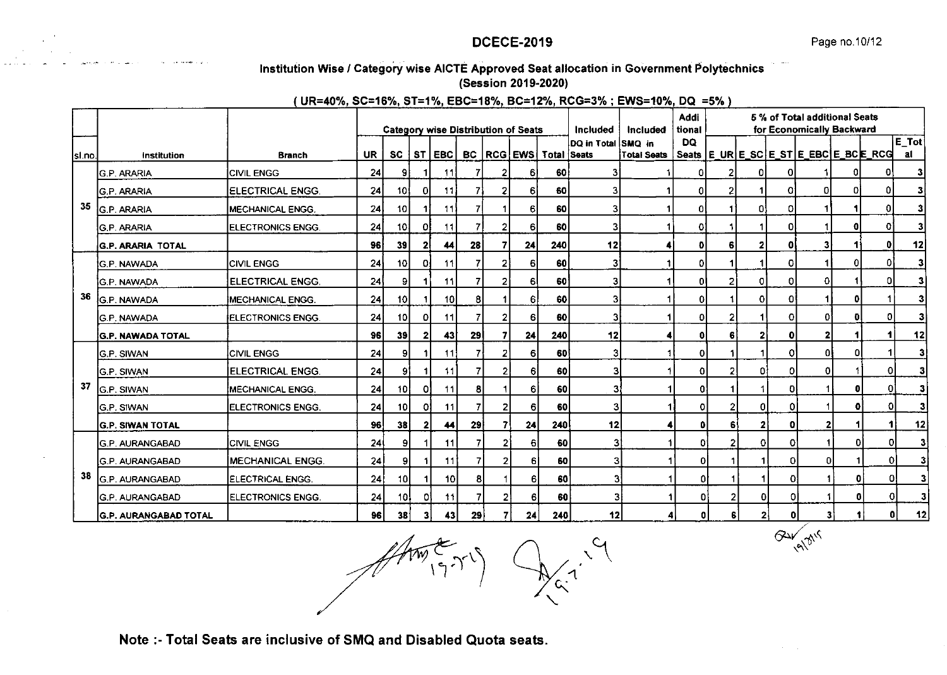## Institution Wise / Category wise AICTE Approved Seat allocation in Government Polytechnics (Session 2019-2020)

#### (UR=40%, SC=16%, ST=1%, EBC=18%, BC=12%, RCG=3%; EWS=10%, DQ =5%)

|        |                              |                          |           |                 |              |                 |    |                |                                     |                                       |                    |                      | Addi           |   |              |             | 5 % of Total additional Seats |    |                                  |              |
|--------|------------------------------|--------------------------|-----------|-----------------|--------------|-----------------|----|----------------|-------------------------------------|---------------------------------------|--------------------|----------------------|----------------|---|--------------|-------------|-------------------------------|----|----------------------------------|--------------|
|        |                              |                          |           |                 |              |                 |    |                | Category wise Distribution of Seats |                                       | <b>Included</b>    | Included             | tional<br>DQ   |   |              |             | for Economically Backward     |    |                                  | $E\_Tot$     |
| sl.no. | Institution                  | <b>Branch</b>            | <b>UR</b> | <b>SC</b>       |              | ST EBC          |    |                |                                     | <b>BC   RCG   EWS   Total   Seats</b> | DQ in Total SMQ in | <b>Total Seats</b>   |                |   |              |             |                               |    | Seats E_URE_SCE_STE_EBCE_BCE_RCG | al           |
|        | <b>G.P. ARARIA</b>           | <b>CIVIL ENGG</b>        | 24        | 9               | 1            | 11              | 7  |                | 6                                   | 60                                    | 31                 |                      | ٥              |   | ΩI           |             |                               | 01 | O۱                               | 3            |
|        | <b>G.P. ARARIA</b>           | <b>ELECTRICAL ENGG.</b>  | 24        | 10              | OI           | 11              | 71 |                | 6                                   | 60                                    | 3                  |                      | 0              |   |              | 01          |                               |    | ٥I                               | 3            |
| 35     | G.P. ARARIA                  | <b>MECHANICAL ENGG.</b>  | 24        | 10 <sub>1</sub> |              | 11              | 7  |                | 6                                   | 60                                    | 3                  |                      | 0              |   | 0            | ٥I          |                               |    | ٥I                               |              |
|        | G.P. ARARIA                  | <b>ELECTRONICS ENGG.</b> | 24        | 10 <sub>1</sub> | οı           | 11              |    |                | 6                                   | 60                                    | з                  |                      | 0              |   |              | $\Omega$    |                               |    | 0                                |              |
|        | <b>G.P. ARARIA TOTAL</b>     |                          | 96        | 39              | 21           | 44              | 28 |                | 24                                  | 240                                   | 12                 |                      | $\mathbf{0}$   | 6 |              | 0           | 31                            |    | ٥I                               | 12           |
|        | <b>G.P. NAWADA</b>           | <b>CIVIL ENGG</b>        | 24        | 10 <sub>l</sub> | 01           | 11              | 7  | 2              | 6                                   | 60                                    | 3                  |                      | 0              |   |              | ٥           |                               | 0  | ٥I                               | 31           |
|        | <b>G.P. NAWADA</b>           | ELECTRICAL ENGG.         | 24        | 9               | 1            | 11              | 7  | 2              | 61                                  | 60                                    | 3                  |                      | $\mathbf{0}$   |   | οI           | 0           | ٥I                            |    | 0                                | 31           |
| 36     | <b>G.P. NAWADA</b>           | MECHANICAL ENGG.         | 24        | 10 <sup>1</sup> |              | 10 <sup>1</sup> | 8  |                | 61                                  | 60                                    | 3                  |                      | $\mathbf 0$    |   | 0            | 0l          |                               | 0  |                                  | 31           |
|        | <b>G.P. NAWADA</b>           | ELECTRONICS ENGG.        | 24        | 10 <sup>1</sup> | οI           | 11              |    |                | 6                                   | 60                                    | 3                  |                      | $\overline{0}$ | 2 |              | ΩI          | Οi                            | ol | 01                               | 31           |
|        | <b>G.P. NAWADA TOTAL</b>     |                          | 96        | 39              | 21           | 43              | 29 |                | 24                                  | 240                                   | 12                 |                      | $\mathbf 0$    | 6 | $\mathbf{2}$ | ٥I          | $\mathbf{z}$                  |    | 1                                | 12           |
|        | <b>G.P. SIWAN</b>            | <b>CIVIL ENGG</b>        | 24        | 91              |              | 11              | 7  |                | 6                                   | 60                                    | 3                  |                      | $\Omega$       |   |              | 01          | 0                             | 0  |                                  | $\mathbf{3}$ |
|        | <b>G.P. SIWAN</b>            | <b>ELECTRICAL ENGG.</b>  | 24        | 9               | 1            | 11              | 7  | 2              | 6                                   | 60                                    |                    |                      | $\overline{0}$ |   | O.           | ٥I          | 0                             |    | $\mathbf{O}$                     | $\mathbf{3}$ |
| 37     | G.P. SIWAN                   | <b>MECHANICAL ENGG.</b>  | 24        | 10 <sup>1</sup> | 01           | 11              | 8  |                | 6                                   | 60                                    | 3                  |                      | οl             |   |              | o           |                               | 0  | 0                                | 3            |
|        | <b>G.P. SIWAN</b>            | ELECTRONICS ENGG.        | 24        | 10 l            | 01           | 11              | 7  | 21             | 6                                   | 60                                    | 3                  |                      | $\mathbf{O}$   |   | 01           | ٥ı          |                               | 0  | 0                                | 3            |
|        | <b>G.P. SIWAN TOTAL</b>      |                          | 96        | 38              | $\mathbf{2}$ | 44              | 29 |                | 24                                  | 240                                   | 12                 |                      | $\mathbf{0}$   |   | $\mathbf{z}$ | o           | $\overline{2}$                |    | 1                                | 12           |
|        | <b>G.P. AURANGABAD</b>       | <b>CIVIL ENGG</b>        | 24        | 91              |              | 11              |    | 2              | 61                                  | 60                                    | 3                  |                      | 0              |   | οı           | 0'          |                               |    | 0<br>01                          | 3            |
|        | <b>G.P. AURANGABAD</b>       | MECHANICAL ENGG.         | 24        | 91              | 11           | 11              | 7  | $\overline{2}$ | 61                                  | 60                                    | 3                  |                      | οI             |   |              | 0           | 0                             |    | 0                                | 3            |
| 38     | <b>G.P. AURANGABAD</b>       | ELECTRICAL ENGG.         | 24        | 10 <sub>l</sub> | .1.          | 10 <sub>1</sub> | 8  |                | 61                                  | 60                                    | 3                  |                      | ٥ł             |   |              | 0           |                               |    | ٥                                | 3            |
|        | <b>G.P. AURANGABAD</b>       | ELECTRONICS ENGG.        | 24        | 10I             | 0I           | 11              |    | 2              | 6                                   | 60                                    | 3                  |                      | o              | 2 | 이            | 0           |                               |    | 0<br>٥I                          | 3            |
|        | <b>G.P. AURANGABAD TOTAL</b> |                          | 96        | 38              | 31           | 43              | 29 | 7              | 24                                  | 240                                   | 12                 | $\blacktriangleleft$ | 0l             | 6 | $\mathbf{z}$ | $\mathbf 0$ | $\overline{\mathbf{3}}$       |    | ٥I                               | 12           |
|        |                              |                          |           |                 | $4\pi$       |                 |    |                |                                     |                                       |                    |                      |                |   |              | $6 -$       |                               |    |                                  |              |

 $\mathcal{A}^{\setminus}$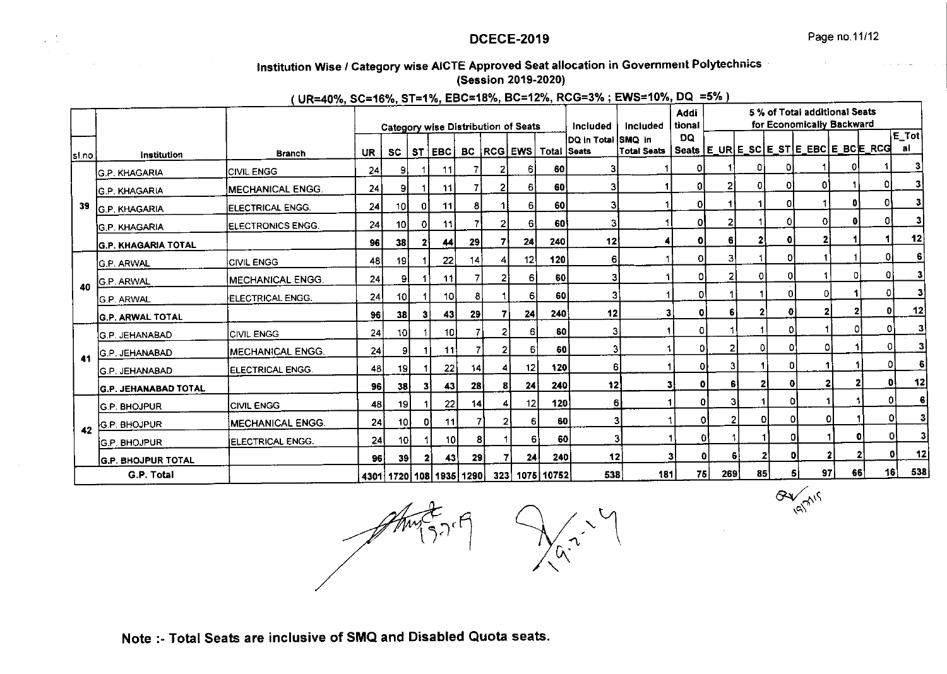# lnstitution Wise / Category wise AICTE Approved Seat allocation in Government Polytechnics (Session 2019-2O2Ol

UR=40% SC=16%, ST=1% EBC=18%, BC=12%, RCG=3% ; EWS=10%, DQ =5%

|         |                            | _______                   |           |                 |    |                                 |                |              | <b>Category wise Distribution of Seats</b> |                                | Included                  | Included                                                                                | Addi<br>tional |     |         |          | 5 % of Total additional Seats<br>for Economically Backward |    |              |                         |
|---------|----------------------------|---------------------------|-----------|-----------------|----|---------------------------------|----------------|--------------|--------------------------------------------|--------------------------------|---------------------------|-----------------------------------------------------------------------------------------|----------------|-----|---------|----------|------------------------------------------------------------|----|--------------|-------------------------|
| lsl.no. | Institution                | <b>Branch</b>             | <b>UR</b> | SC              |    | ST EBC                          |                |              |                                            | BC   RCG   EWS   Total   Seats | DQ in Total <i>SMQ</i> in | Total Seats   Seats   E_UR <u>  E_S</u> C   E_ST <u>  E_</u> EBC   E_ <u>BC   E_RCG</u> | DQ.            |     |         |          |                                                            |    |              | E_Totl<br>al            |
|         | IG.P. KHAGARIA             | <b>CIVIL ENGG</b>         | 24        | 9               |    | 11                              |                |              | 61                                         | 60                             | 31                        |                                                                                         | 01             |     |         |          |                                                            |    |              | з                       |
|         | <b>IG.P. KHAGARIA</b>      | <b>IMECHANICAL ENGG.</b>  | 24        | 91              |    | 11                              |                |              | 61                                         | 60                             | 3                         |                                                                                         | 01             | 2   | 01      | 01       | 01                                                         |    |              |                         |
| 39      | IG.P. KHAGARIA             | <b>IELECTRICAL ENGG.</b>  | 24        | 10I             | 01 | 11 I                            | 8              |              | 61                                         | 60                             | з                         |                                                                                         | οI             |     |         |          |                                                            | 01 |              |                         |
|         | ÌG.P. KHAGARIA             | <b>IELECTRONICS ENGG.</b> | 24        | 10 <sub>1</sub> | οı | 11 I                            |                |              | 61                                         | 60                             | 3                         |                                                                                         | 01             |     |         |          | Ω                                                          | ol | Ωl           | 3                       |
|         | IG.P. KHAGARIA TOTAL       |                           | 96        | 38              |    | 44                              | 29             |              | 24                                         | 240                            | 12                        |                                                                                         | οl             | 6   |         |          | 2                                                          |    |              | 12                      |
|         | IG.P. ARWAL                | <b>CIVIL ENGG</b>         | 48        | 19              |    | 22                              | 4              |              | 12                                         | 120                            | 6                         |                                                                                         | ٥I             | 3   |         | n        |                                                            |    | ٥I           |                         |
| 40      | G.P. ARWAL                 | <b>MECHANICAL ENGG.</b>   | 24        | 91              |    | 11 I                            | $\overline{7}$ |              | 61                                         | 60 I                           | 3                         |                                                                                         | O              |     |         | 01       |                                                            | 0  |              |                         |
|         | IG.P. ARWAL                | ELECTRICAL ENGG.          | 24        | 10 <sub>l</sub> |    | 10 I                            | 8              |              | 6                                          | 60                             | 3                         |                                                                                         | $\Omega$       |     |         | ΩI       | οI                                                         |    | ٥I           |                         |
|         | <b>G.P. ARWAL TOTAL</b>    |                           | 96 I      | 38              | 31 | 43                              | 29             |              | 24                                         | 240                            | 12                        |                                                                                         | 0 <br>31       |     | 2       | 0        | $\mathbf{2}$                                               |    | $\mathbf{0}$ | 12                      |
|         | <b>G.P. JEHANABAD</b>      | <b>ICIVIL ENGG</b>        | 24        | 10I             |    | 10I                             |                |              | 61                                         | 60                             | 3                         |                                                                                         | o              |     |         | n.       |                                                            | O  | Ωİ           | 3 <sup>1</sup>          |
| 41      | <b>İG.P. JEHANABAD</b>     | <b>IMECHANICAL ENGG.</b>  | 24        | 91              |    | 11                              |                | 21           | 61                                         | 60                             | 3                         |                                                                                         | o              |     | o       | οı       | Οł                                                         |    | 0            | $\overline{\mathbf{3}}$ |
|         | <b>IG.P. JEHANABAD</b>     | ELECTRICAL ENGG.          | 48        | -19             |    | 22                              | 14             | 4            | 12                                         | 120                            | 6                         |                                                                                         | ΟI             |     |         | 0l       |                                                            |    | 0            | 6                       |
|         | İG.P. JEHANABAD TOTAL      |                           | 96        | 38              | 31 | 43                              | 28             | 81           | 24                                         | 240                            | 12                        |                                                                                         | ΩI             |     | 61      | 21<br>o  |                                                            |    | 0I           | 12                      |
|         | <b>G.P. BHOJPUR</b>        | <b>CIVIL ENGG</b>         | 48        | 19 I            |    | 22                              | 14             |              | 12                                         | 120                            | 6                         |                                                                                         |                | ٥I  | з       | O        |                                                            |    | 0            | 6                       |
| 42      | G.P. BHOJPUR               | <b>MECHANICAL ENGG.</b>   | 24        | 10 I            | 01 | 11                              |                | $\mathbf{2}$ | $6 \mid$                                   | 60 l                           | З                         |                                                                                         |                | οI  | 21      | 0l<br>٥I | οı                                                         |    | ٥I           | 3                       |
|         | ÍG.P. BHOJPUR              | IELECTRICAL ENGG.         | <b>24</b> | 10 l            |    | 10 <sub>l</sub>                 | 8              |              | 61                                         | 60                             |                           | 3                                                                                       | 0              |     |         | Οł       |                                                            | O. | ٥ı           | 3                       |
|         | <b>IG.P. BHOJPUR TOTAL</b> |                           | 96 I      | <b>39</b>       | 2  | 43                              | 29             |              | 24                                         | 240                            | 12                        |                                                                                         | 3<br>O         |     | 2<br>61 | Đ        |                                                            |    |              | 12                      |
|         | G.P. Total                 |                           |           |                 |    | 4301   1720   108   1935   1290 |                |              |                                            | 323 1075 10752                 | 538                       | 181                                                                                     | 75             | 269 | 85      | 51       | 97                                                         | 66 | 16           | 538                     |

 $3777$ 

 $Gv_{\rm eff}$  $\langle \alpha \rangle$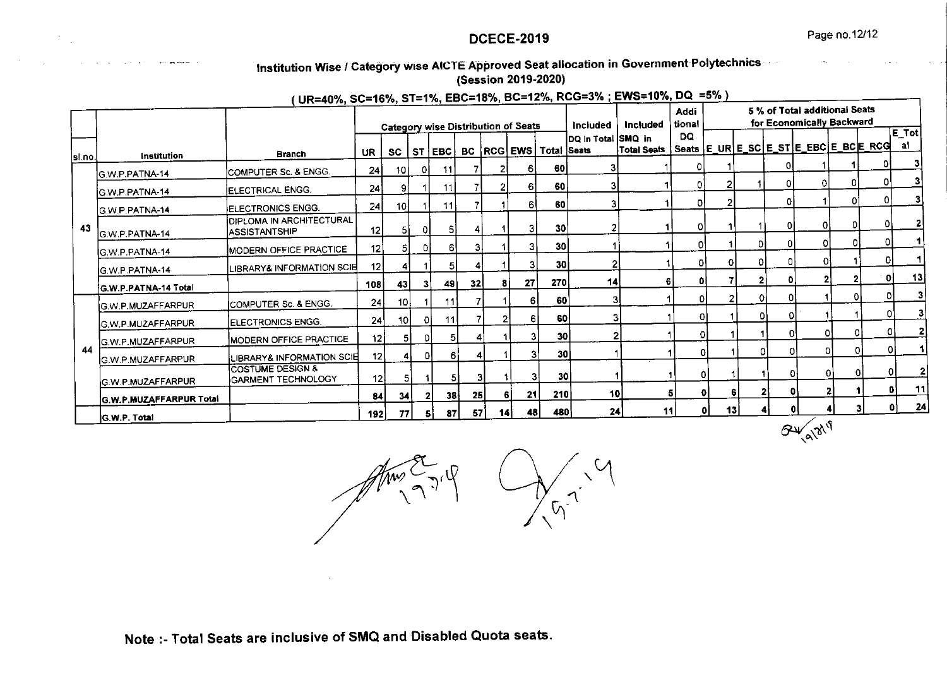# Institution Wise / Category wise AICTE Approved Seat allocation in Government Polytechnics

# (Session 2019-2020)

(UR=40%, SC=16%, ST=1%, EBC=18%, BC=12%, RCG=3%; EWS=10%, DQ =5%)

|         |                           | $\frac{1}{2}$                                     |     |                 |    |          |    | <b>Category wise Distribution of Seats</b> |                |                                | Included           | Included    | <b>Addi</b><br>tional |    |    |                     | 5 % of Total additional Seats<br>for Economically Backward |    |          |                    |
|---------|---------------------------|---------------------------------------------------|-----|-----------------|----|----------|----|--------------------------------------------|----------------|--------------------------------|--------------------|-------------|-----------------------|----|----|---------------------|------------------------------------------------------------|----|----------|--------------------|
| lsl.no. | Institution               | <b>Branch</b>                                     | UR. | <b>SC</b>       |    | ST EBC   |    |                                            |                | BC   RCG   EWS   Total   Seats | DQ in Total SMQ in | Total Seats | DQ                    |    |    |                     | Seats   E_UR   E_SC   E_ST   E_EBC   E_BC   E_RCG          |    |          | E_Tot <br>al       |
|         | G.W.P.PATNA-14            | COMPUTER Sc. & ENGG.                              | 24  | 10              | 01 | 11       |    |                                            | 61             | 60                             | 31                 |             | 0                     |    |    |                     |                                                            |    |          |                    |
|         | IG.W.P.PATNA-14           | <b>IELECTRICAL ENGG.</b>                          | 24  | -91             |    | 11       | 7  |                                            | 61             | 60                             | 3                  |             | Οl                    |    |    | ٥I                  | 0                                                          |    | ٥I       | 31                 |
|         | IG.W.P.PATNA-14           | ELECTRONICS ENGG.                                 | 24  | 10 <sup>1</sup> |    | 11       |    |                                            | 61             | 60                             | 3                  |             | ΟI                    |    |    | n                   |                                                            |    | ΩI       | 31                 |
| 43      | G.W.P.PATNA-14            | <b>JOIPLOMA IN ARCHITECTURAL</b><br>ASSISTANTSHIP | 12  | 51              | 01 |          |    |                                            | 31             | 30 <sup>′</sup>                |                    |             | 0                     |    |    | οI                  | οl                                                         | 0  | 0        | 2 <sup>1</sup>     |
|         | <b>G.W.P.PATNA-14</b>     | MODERN OFFICE PRACTICE                            | 12  | 5.              | Οİ | 61       | 31 |                                            | 31             | 30 <sup>1</sup>                |                    |             | ΩI                    |    |    | 0<br>٥I             | $\Omega$                                                   | ΩI | ΟI       |                    |
|         | IG.W.P.PATNA-14           | IBRARY& INFORMATION SCIE                          | 12  |                 |    | 51       |    |                                            | 3              | 30                             |                    |             | ΩI                    |    | ΩI | ٥I<br>o             | ΩI                                                         |    | 0        |                    |
|         | G.W.P.PATNA-14 Total      |                                                   | 108 | 43              | 31 | 49       | 32 | 81                                         | 27             | 270                            | 14                 |             | ٥i<br>61              |    |    | $\overline{2}$<br>O |                                                            |    | Οl       | 13                 |
|         | IG.W.P.MUZAFFARPUR        | <b>ICOMPUTER Sc. &amp; ENGG.</b>                  | 24  | 10 I            |    | 11       |    |                                            | 6l             | -60                            |                    |             |                       |    |    | -01<br>$\mathbf{O}$ |                                                            | Οl | οı       |                    |
|         | IG.W.P.MUZAFFARPUR        | <b>IELECTRONICS ENGG.</b>                         | 24  | 10 <sup>1</sup> | Οİ | 11       |    |                                            | 6              | <b>60</b>                      |                    |             |                       |    |    | ٥I<br>Ð             |                                                            |    |          |                    |
|         | G.W.P.MUZAFFARPUR         | MODERN OFFICE PRACTICE                            | 12  | 51              | Οl | 51       |    |                                            | 3              | 30 <sub>l</sub>                |                    |             |                       | ٥I |    | $\Omega$            | O.                                                         | Ω  |          |                    |
| 44      | <b>IG.W.P.MUZAFFARPUR</b> | <b>LIBRARY&amp; INFORMATION SCIE</b>              | 12  |                 | οI | 61       |    |                                            | 3              | 30                             |                    |             |                       | 0  |    | D                   | O.                                                         | ٥I | ΩI<br>οı |                    |
|         | <b>IG.W.P.MUZAFFARPUR</b> | ÍCOSTUME DESIGN &<br><b>GARMENT TECHNOLOGY</b>    | 12  |                 | 5  | 51       |    |                                            | $\overline{3}$ | 30 <sup>1</sup>                |                    |             |                       | n  |    |                     |                                                            | ٥ı | ΩI       | 01                 |
|         | G.W.P.MUZAFFARPUR Total   |                                                   | 84  | 34              |    | 38       | 25 | -61                                        | 21             | 210                            | 10                 |             | 5 <sub>l</sub>        | ٥I | 6  |                     |                                                            | 2  |          | 01                 |
|         | <b>G.W.P. Total</b>       |                                                   | 192 | 77              |    | 87<br>51 | 57 | 14 i                                       | 48             | 480                            | 24                 | 11          |                       | ٥I | 13 |                     |                                                            |    | 3        | $\mathbf{z}$<br>0Ì |
|         |                           |                                                   |     |                 |    |          |    |                                            |                |                                |                    |             |                       |    |    |                     | 18/3<br>டு<br>۵N.                                          |    |          |                    |

 $M_{\dot{\gamma}}$ 

 $\widetilde{\mathcal{A}}$